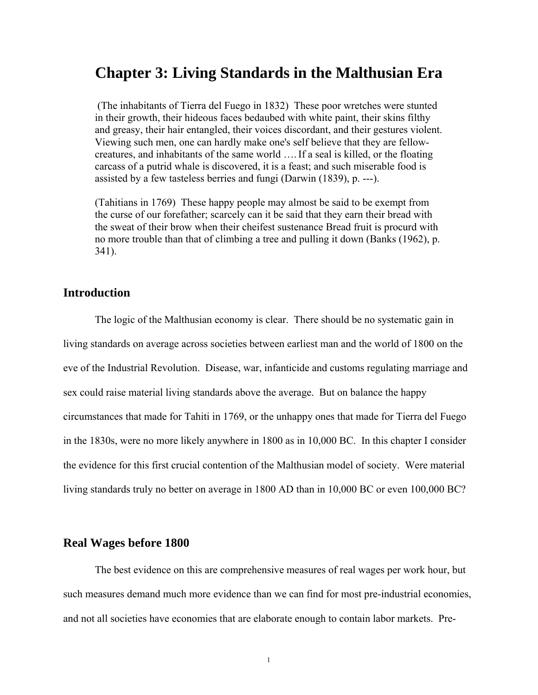# **Chapter 3: Living Standards in the Malthusian Era**

 (The inhabitants of Tierra del Fuego in 1832) These poor wretches were stunted in their growth, their hideous faces bedaubed with white paint, their skins filthy and greasy, their hair entangled, their voices discordant, and their gestures violent. Viewing such men, one can hardly make one's self believe that they are fellowcreatures, and inhabitants of the same world ….If a seal is killed, or the floating carcass of a putrid whale is discovered, it is a feast; and such miserable food is assisted by a few tasteless berries and fungi (Darwin (1839), p. ---).

(Tahitians in 1769) These happy people may almost be said to be exempt from the curse of our forefather; scarcely can it be said that they earn their bread with the sweat of their brow when their cheifest sustenance Bread fruit is procurd with no more trouble than that of climbing a tree and pulling it down (Banks (1962), p. 341).

### **Introduction**

 The logic of the Malthusian economy is clear. There should be no systematic gain in living standards on average across societies between earliest man and the world of 1800 on the eve of the Industrial Revolution. Disease, war, infanticide and customs regulating marriage and sex could raise material living standards above the average. But on balance the happy circumstances that made for Tahiti in 1769, or the unhappy ones that made for Tierra del Fuego in the 1830s, were no more likely anywhere in 1800 as in 10,000 BC. In this chapter I consider the evidence for this first crucial contention of the Malthusian model of society. Were material living standards truly no better on average in 1800 AD than in 10,000 BC or even 100,000 BC?

### **Real Wages before 1800**

 The best evidence on this are comprehensive measures of real wages per work hour, but such measures demand much more evidence than we can find for most pre-industrial economies, and not all societies have economies that are elaborate enough to contain labor markets. Pre-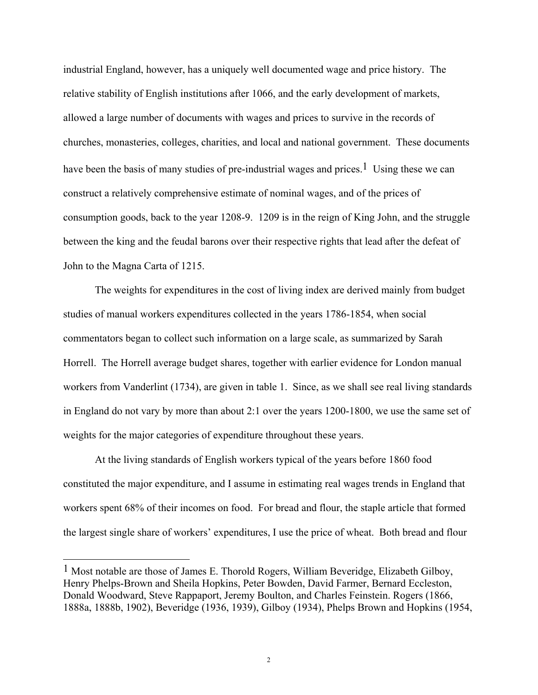industrial England, however, has a uniquely well documented wage and price history. The relative stability of English institutions after 1066, and the early development of markets, allowed a large number of documents with wages and prices to survive in the records of churches, monasteries, colleges, charities, and local and national government. These documents have been the basis of many studies of pre-industrial wages and prices.<sup>1</sup> Using these we can construct a relatively comprehensive estimate of nominal wages, and of the prices of consumption goods, back to the year 1208-9. 1209 is in the reign of King John, and the struggle between the king and the feudal barons over their respective rights that lead after the defeat of John to the Magna Carta of 1215.

The weights for expenditures in the cost of living index are derived mainly from budget studies of manual workers expenditures collected in the years 1786-1854, when social commentators began to collect such information on a large scale, as summarized by Sarah Horrell. The Horrell average budget shares, together with earlier evidence for London manual workers from Vanderlint (1734), are given in table 1. Since, as we shall see real living standards in England do not vary by more than about 2:1 over the years 1200-1800, we use the same set of weights for the major categories of expenditure throughout these years.

 At the living standards of English workers typical of the years before 1860 food constituted the major expenditure, and I assume in estimating real wages trends in England that workers spent 68% of their incomes on food. For bread and flour, the staple article that formed the largest single share of workers' expenditures, I use the price of wheat. Both bread and flour

 $\overline{a}$ 

<sup>1</sup> Most notable are those of James E. Thorold Rogers, William Beveridge, Elizabeth Gilboy, Henry Phelps-Brown and Sheila Hopkins, Peter Bowden, David Farmer, Bernard Eccleston, Donald Woodward, Steve Rappaport, Jeremy Boulton, and Charles Feinstein. Rogers (1866, 1888a, 1888b, 1902), Beveridge (1936, 1939), Gilboy (1934), Phelps Brown and Hopkins (1954,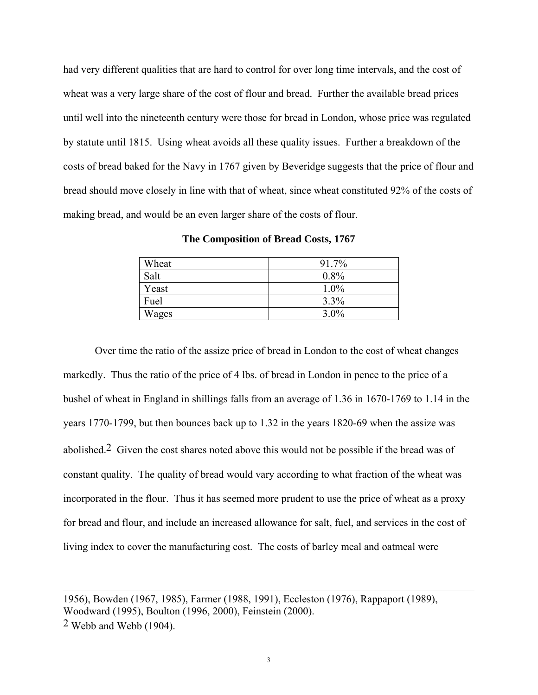had very different qualities that are hard to control for over long time intervals, and the cost of wheat was a very large share of the cost of flour and bread. Further the available bread prices until well into the nineteenth century were those for bread in London, whose price was regulated by statute until 1815. Using wheat avoids all these quality issues. Further a breakdown of the costs of bread baked for the Navy in 1767 given by Beveridge suggests that the price of flour and bread should move closely in line with that of wheat, since wheat constituted 92% of the costs of making bread, and would be an even larger share of the costs of flour.

| Wheat | 91.7%   |
|-------|---------|
| Salt  | $0.8\%$ |
| Yeast | $1.0\%$ |
| Fuel  | 3.3%    |
| Wages | $3.0\%$ |

**The Composition of Bread Costs, 1767** 

Over time the ratio of the assize price of bread in London to the cost of wheat changes markedly. Thus the ratio of the price of 4 lbs. of bread in London in pence to the price of a bushel of wheat in England in shillings falls from an average of 1.36 in 1670-1769 to 1.14 in the years 1770-1799, but then bounces back up to 1.32 in the years 1820-69 when the assize was abolished.2 Given the cost shares noted above this would not be possible if the bread was of constant quality. The quality of bread would vary according to what fraction of the wheat was incorporated in the flour. Thus it has seemed more prudent to use the price of wheat as a proxy for bread and flour, and include an increased allowance for salt, fuel, and services in the cost of living index to cover the manufacturing cost. The costs of barley meal and oatmeal were

 $\overline{a}$ 

<sup>1956),</sup> Bowden (1967, 1985), Farmer (1988, 1991), Eccleston (1976), Rappaport (1989), Woodward (1995), Boulton (1996, 2000), Feinstein (2000). 2 Webb and Webb (1904).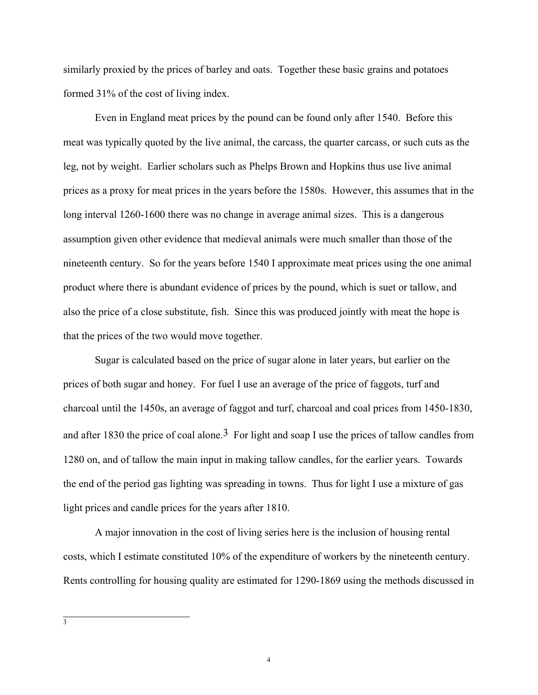similarly proxied by the prices of barley and oats. Together these basic grains and potatoes formed 31% of the cost of living index.

Even in England meat prices by the pound can be found only after 1540. Before this meat was typically quoted by the live animal, the carcass, the quarter carcass, or such cuts as the leg, not by weight. Earlier scholars such as Phelps Brown and Hopkins thus use live animal prices as a proxy for meat prices in the years before the 1580s. However, this assumes that in the long interval 1260-1600 there was no change in average animal sizes. This is a dangerous assumption given other evidence that medieval animals were much smaller than those of the nineteenth century. So for the years before 1540 I approximate meat prices using the one animal product where there is abundant evidence of prices by the pound, which is suet or tallow, and also the price of a close substitute, fish. Since this was produced jointly with meat the hope is that the prices of the two would move together.

 Sugar is calculated based on the price of sugar alone in later years, but earlier on the prices of both sugar and honey. For fuel I use an average of the price of faggots, turf and charcoal until the 1450s, an average of faggot and turf, charcoal and coal prices from 1450-1830, and after 1830 the price of coal alone.<sup>3</sup> For light and soap I use the prices of tallow candles from 1280 on, and of tallow the main input in making tallow candles, for the earlier years. Towards the end of the period gas lighting was spreading in towns. Thus for light I use a mixture of gas light prices and candle prices for the years after 1810.

A major innovation in the cost of living series here is the inclusion of housing rental costs, which I estimate constituted 10% of the expenditure of workers by the nineteenth century. Rents controlling for housing quality are estimated for 1290-1869 using the methods discussed in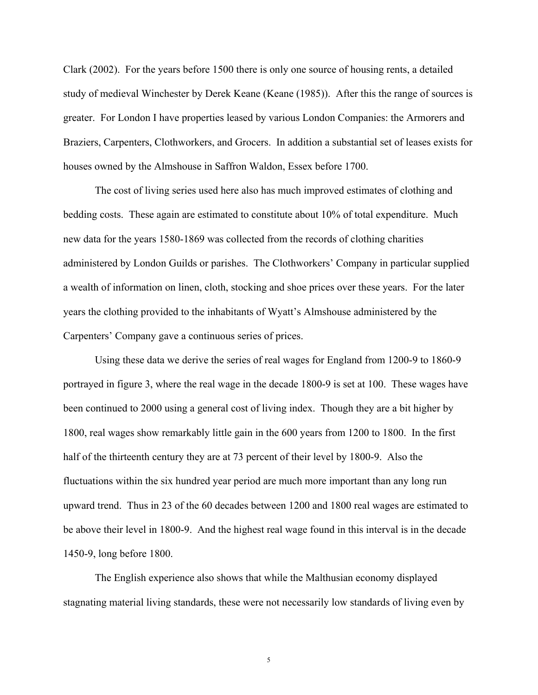Clark (2002). For the years before 1500 there is only one source of housing rents, a detailed study of medieval Winchester by Derek Keane (Keane (1985)). After this the range of sources is greater. For London I have properties leased by various London Companies: the Armorers and Braziers, Carpenters, Clothworkers, and Grocers. In addition a substantial set of leases exists for houses owned by the Almshouse in Saffron Waldon, Essex before 1700.

The cost of living series used here also has much improved estimates of clothing and bedding costs. These again are estimated to constitute about 10% of total expenditure. Much new data for the years 1580-1869 was collected from the records of clothing charities administered by London Guilds or parishes. The Clothworkers' Company in particular supplied a wealth of information on linen, cloth, stocking and shoe prices over these years. For the later years the clothing provided to the inhabitants of Wyatt's Almshouse administered by the Carpenters' Company gave a continuous series of prices.

Using these data we derive the series of real wages for England from 1200-9 to 1860-9 portrayed in figure 3, where the real wage in the decade 1800-9 is set at 100. These wages have been continued to 2000 using a general cost of living index. Though they are a bit higher by 1800, real wages show remarkably little gain in the 600 years from 1200 to 1800. In the first half of the thirteenth century they are at 73 percent of their level by 1800-9. Also the fluctuations within the six hundred year period are much more important than any long run upward trend. Thus in 23 of the 60 decades between 1200 and 1800 real wages are estimated to be above their level in 1800-9. And the highest real wage found in this interval is in the decade 1450-9, long before 1800.

The English experience also shows that while the Malthusian economy displayed stagnating material living standards, these were not necessarily low standards of living even by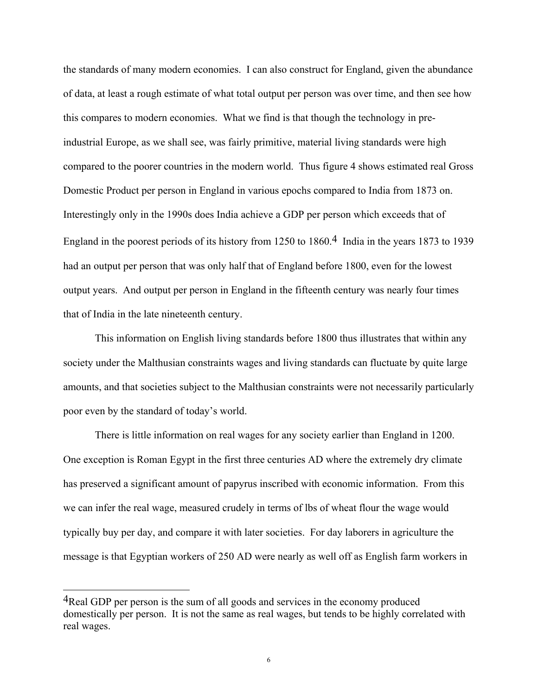the standards of many modern economies. I can also construct for England, given the abundance of data, at least a rough estimate of what total output per person was over time, and then see how this compares to modern economies. What we find is that though the technology in preindustrial Europe, as we shall see, was fairly primitive, material living standards were high compared to the poorer countries in the modern world. Thus figure 4 shows estimated real Gross Domestic Product per person in England in various epochs compared to India from 1873 on. Interestingly only in the 1990s does India achieve a GDP per person which exceeds that of England in the poorest periods of its history from 1250 to 1860.4 India in the years 1873 to 1939 had an output per person that was only half that of England before 1800, even for the lowest output years. And output per person in England in the fifteenth century was nearly four times that of India in the late nineteenth century.

This information on English living standards before 1800 thus illustrates that within any society under the Malthusian constraints wages and living standards can fluctuate by quite large amounts, and that societies subject to the Malthusian constraints were not necessarily particularly poor even by the standard of today's world.

 There is little information on real wages for any society earlier than England in 1200. One exception is Roman Egypt in the first three centuries AD where the extremely dry climate has preserved a significant amount of papyrus inscribed with economic information. From this we can infer the real wage, measured crudely in terms of lbs of wheat flour the wage would typically buy per day, and compare it with later societies. For day laborers in agriculture the message is that Egyptian workers of 250 AD were nearly as well off as English farm workers in

 $\overline{a}$ 

<sup>&</sup>lt;sup>4</sup>Real GDP per person is the sum of all goods and services in the economy produced domestically per person. It is not the same as real wages, but tends to be highly correlated with real wages.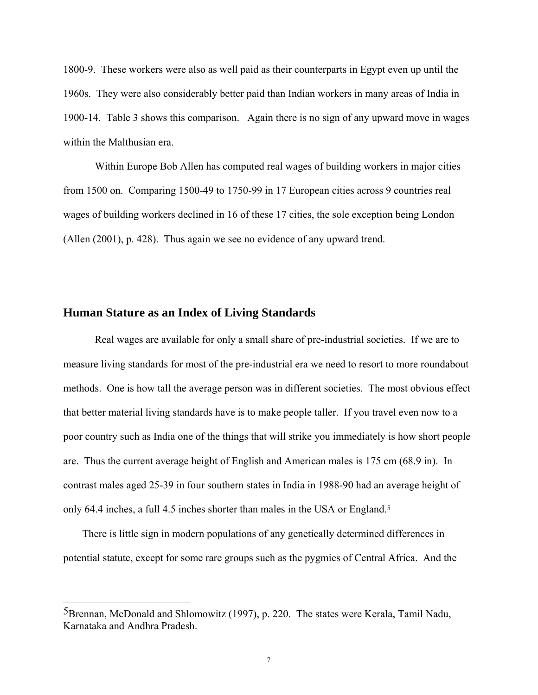1800-9. These workers were also as well paid as their counterparts in Egypt even up until the 1960s. They were also considerably better paid than Indian workers in many areas of India in 1900-14. Table 3 shows this comparison. Again there is no sign of any upward move in wages within the Malthusian era.

 Within Europe Bob Allen has computed real wages of building workers in major cities from 1500 on. Comparing 1500-49 to 1750-99 in 17 European cities across 9 countries real wages of building workers declined in 16 of these 17 cities, the sole exception being London (Allen (2001), p. 428). Thus again we see no evidence of any upward trend.

### **Human Stature as an Index of Living Standards**

j

 Real wages are available for only a small share of pre-industrial societies. If we are to measure living standards for most of the pre-industrial era we need to resort to more roundabout methods. One is how tall the average person was in different societies. The most obvious effect that better material living standards have is to make people taller. If you travel even now to a poor country such as India one of the things that will strike you immediately is how short people are. Thus the current average height of English and American males is 175 cm (68.9 in). In contrast males aged 25-39 in four southern states in India in 1988-90 had an average height of only 64.4 inches, a full 4.5 inches shorter than males in the USA or England.<sup>5</sup>

There is little sign in modern populations of any genetically determined differences in potential statute, except for some rare groups such as the pygmies of Central Africa. And the

<sup>5</sup>Brennan, McDonald and Shlomowitz (1997), p. 220. The states were Kerala, Tamil Nadu, Karnataka and Andhra Pradesh.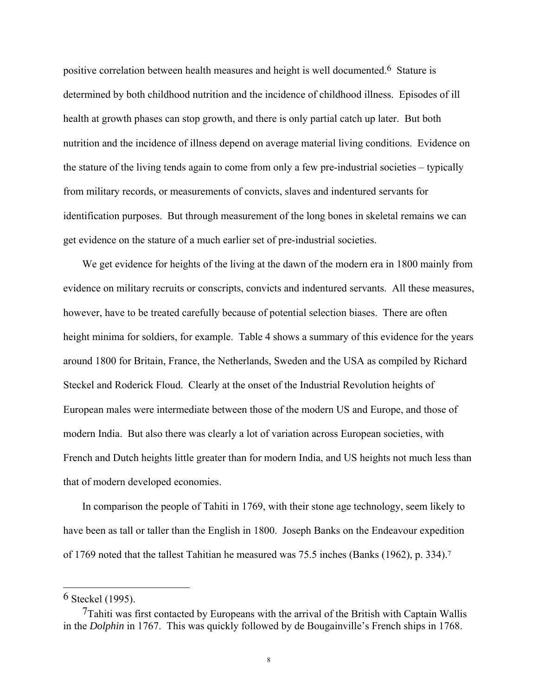positive correlation between health measures and height is well documented.6 Stature is determined by both childhood nutrition and the incidence of childhood illness. Episodes of ill health at growth phases can stop growth, and there is only partial catch up later. But both nutrition and the incidence of illness depend on average material living conditions. Evidence on the stature of the living tends again to come from only a few pre-industrial societies – typically from military records, or measurements of convicts, slaves and indentured servants for identification purposes. But through measurement of the long bones in skeletal remains we can get evidence on the stature of a much earlier set of pre-industrial societies.

We get evidence for heights of the living at the dawn of the modern era in 1800 mainly from evidence on military recruits or conscripts, convicts and indentured servants. All these measures, however, have to be treated carefully because of potential selection biases. There are often height minima for soldiers, for example. Table 4 shows a summary of this evidence for the years around 1800 for Britain, France, the Netherlands, Sweden and the USA as compiled by Richard Steckel and Roderick Floud. Clearly at the onset of the Industrial Revolution heights of European males were intermediate between those of the modern US and Europe, and those of modern India. But also there was clearly a lot of variation across European societies, with French and Dutch heights little greater than for modern India, and US heights not much less than that of modern developed economies.

 In comparison the people of Tahiti in 1769, with their stone age technology, seem likely to have been as tall or taller than the English in 1800. Joseph Banks on the Endeavour expedition of 1769 noted that the tallest Tahitian he measured was 75.5 inches (Banks (1962), p. 334).7

 $\overline{a}$ 

<sup>6</sup> Steckel (1995).

<sup>7</sup>Tahiti was first contacted by Europeans with the arrival of the British with Captain Wallis in the *Dolphin* in 1767. This was quickly followed by de Bougainville's French ships in 1768.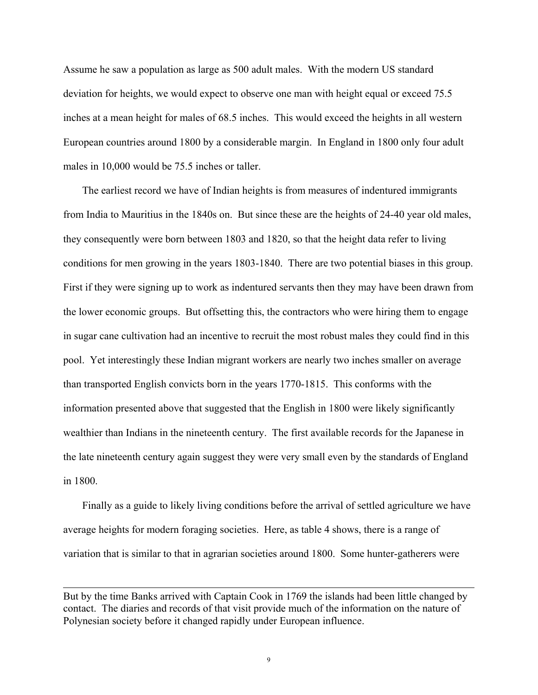Assume he saw a population as large as 500 adult males. With the modern US standard deviation for heights, we would expect to observe one man with height equal or exceed 75.5 inches at a mean height for males of 68.5 inches. This would exceed the heights in all western European countries around 1800 by a considerable margin. In England in 1800 only four adult males in 10,000 would be 75.5 inches or taller.

The earliest record we have of Indian heights is from measures of indentured immigrants from India to Mauritius in the 1840s on. But since these are the heights of 24-40 year old males, they consequently were born between 1803 and 1820, so that the height data refer to living conditions for men growing in the years 1803-1840. There are two potential biases in this group. First if they were signing up to work as indentured servants then they may have been drawn from the lower economic groups. But offsetting this, the contractors who were hiring them to engage in sugar cane cultivation had an incentive to recruit the most robust males they could find in this pool. Yet interestingly these Indian migrant workers are nearly two inches smaller on average than transported English convicts born in the years 1770-1815. This conforms with the information presented above that suggested that the English in 1800 were likely significantly wealthier than Indians in the nineteenth century. The first available records for the Japanese in the late nineteenth century again suggest they were very small even by the standards of England in 1800.

Finally as a guide to likely living conditions before the arrival of settled agriculture we have average heights for modern foraging societies. Here, as table 4 shows, there is a range of variation that is similar to that in agrarian societies around 1800. Some hunter-gatherers were

 $\overline{a}$ 

But by the time Banks arrived with Captain Cook in 1769 the islands had been little changed by contact. The diaries and records of that visit provide much of the information on the nature of Polynesian society before it changed rapidly under European influence.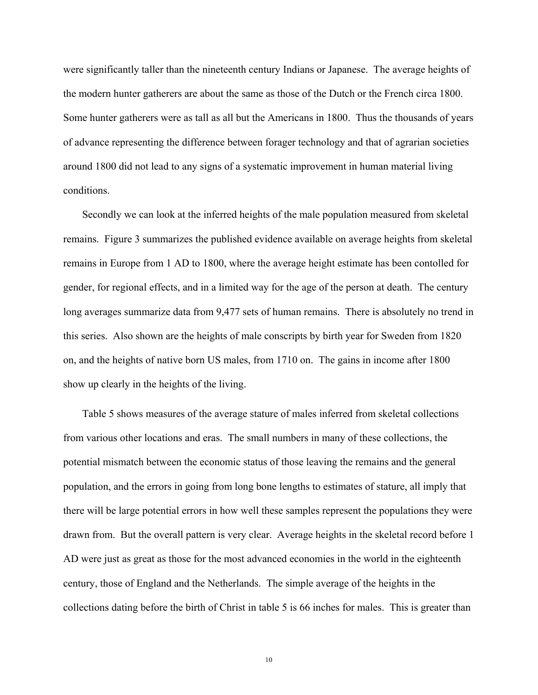were significantly taller than the nineteenth century Indians or Japanese. The average heights of the modern hunter gatherers are about the same as those of the Dutch or the French circa 1800. Some hunter gatherers were as tall as all but the Americans in 1800. Thus the thousands of years of advance representing the difference between forager technology and that of agrarian societies around 1800 did not lead to any signs of a systematic improvement in human material living conditions.

Secondly we can look at the inferred heights of the male population measured from skeletal remains. Figure 3 summarizes the published evidence available on average heights from skeletal remains in Europe from 1 AD to 1800, where the average height estimate has been contolled for gender, for regional effects, and in a limited way for the age of the person at death. The century long averages summarize data from 9,477 sets of human remains. There is absolutely no trend in this series. Also shown are the heights of male conscripts by birth year for Sweden from 1820 on, and the heights of native born US males, from 1710 on. The gains in income after 1800 show up clearly in the heights of the living.

Table 5 shows measures of the average stature of males inferred from skeletal collections from various other locations and eras. The small numbers in many of these collections, the potential mismatch between the economic status of those leaving the remains and the general population, and the errors in going from long bone lengths to estimates of stature, all imply that there will be large potential errors in how well these samples represent the populations they were drawn from. But the overall pattern is very clear. Average heights in the skeletal record before 1 AD were just as great as those for the most advanced economies in the world in the eighteenth century, those of England and the Netherlands. The simple average of the heights in the collections dating before the birth of Christ in table 5 is 66 inches for males. This is greater than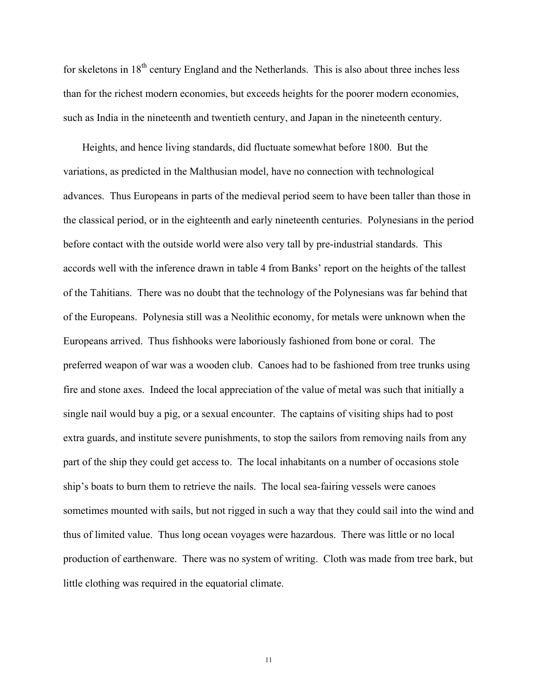for skeletons in  $18<sup>th</sup>$  century England and the Netherlands. This is also about three inches less than for the richest modern economies, but exceeds heights for the poorer modern economies, such as India in the nineteenth and twentieth century, and Japan in the nineteenth century.

Heights, and hence living standards, did fluctuate somewhat before 1800. But the variations, as predicted in the Malthusian model, have no connection with technological advances. Thus Europeans in parts of the medieval period seem to have been taller than those in the classical period, or in the eighteenth and early nineteenth centuries. Polynesians in the period before contact with the outside world were also very tall by pre-industrial standards. This accords well with the inference drawn in table 4 from Banks' report on the heights of the tallest of the Tahitians. There was no doubt that the technology of the Polynesians was far behind that of the Europeans. Polynesia still was a Neolithic economy, for metals were unknown when the Europeans arrived. Thus fishhooks were laboriously fashioned from bone or coral. The preferred weapon of war was a wooden club. Canoes had to be fashioned from tree trunks using fire and stone axes. Indeed the local appreciation of the value of metal was such that initially a single nail would buy a pig, or a sexual encounter. The captains of visiting ships had to post extra guards, and institute severe punishments, to stop the sailors from removing nails from any part of the ship they could get access to. The local inhabitants on a number of occasions stole ship's boats to burn them to retrieve the nails. The local sea-fairing vessels were canoes sometimes mounted with sails, but not rigged in such a way that they could sail into the wind and thus of limited value. Thus long ocean voyages were hazardous. There was little or no local production of earthenware. There was no system of writing. Cloth was made from tree bark, but little clothing was required in the equatorial climate.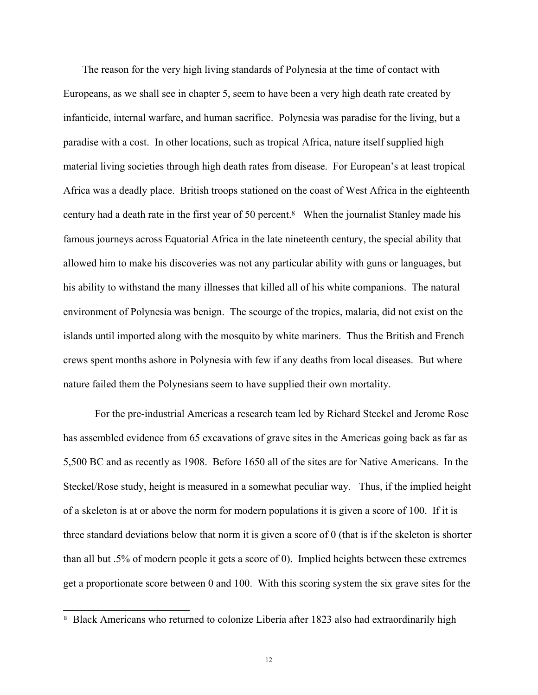The reason for the very high living standards of Polynesia at the time of contact with Europeans, as we shall see in chapter 5, seem to have been a very high death rate created by infanticide, internal warfare, and human sacrifice. Polynesia was paradise for the living, but a paradise with a cost. In other locations, such as tropical Africa, nature itself supplied high material living societies through high death rates from disease. For European's at least tropical Africa was a deadly place. British troops stationed on the coast of West Africa in the eighteenth century had a death rate in the first year of 50 percent.8 When the journalist Stanley made his famous journeys across Equatorial Africa in the late nineteenth century, the special ability that allowed him to make his discoveries was not any particular ability with guns or languages, but his ability to withstand the many illnesses that killed all of his white companions. The natural environment of Polynesia was benign. The scourge of the tropics, malaria, did not exist on the islands until imported along with the mosquito by white mariners. Thus the British and French crews spent months ashore in Polynesia with few if any deaths from local diseases. But where nature failed them the Polynesians seem to have supplied their own mortality.

For the pre-industrial Americas a research team led by Richard Steckel and Jerome Rose has assembled evidence from 65 excavations of grave sites in the Americas going back as far as 5,500 BC and as recently as 1908. Before 1650 all of the sites are for Native Americans. In the Steckel/Rose study, height is measured in a somewhat peculiar way. Thus, if the implied height of a skeleton is at or above the norm for modern populations it is given a score of 100. If it is three standard deviations below that norm it is given a score of 0 (that is if the skeleton is shorter than all but .5% of modern people it gets a score of 0). Implied heights between these extremes get a proportionate score between 0 and 100. With this scoring system the six grave sites for the

l

<sup>&</sup>lt;sup>8</sup> Black Americans who returned to colonize Liberia after 1823 also had extraordinarily high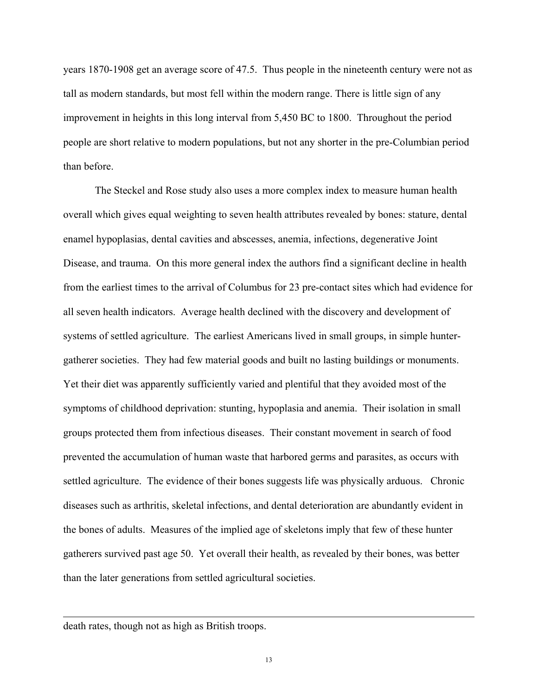years 1870-1908 get an average score of 47.5. Thus people in the nineteenth century were not as tall as modern standards, but most fell within the modern range. There is little sign of any improvement in heights in this long interval from 5,450 BC to 1800. Throughout the period people are short relative to modern populations, but not any shorter in the pre-Columbian period than before.

 The Steckel and Rose study also uses a more complex index to measure human health overall which gives equal weighting to seven health attributes revealed by bones: stature, dental enamel hypoplasias, dental cavities and abscesses, anemia, infections, degenerative Joint Disease, and trauma. On this more general index the authors find a significant decline in health from the earliest times to the arrival of Columbus for 23 pre-contact sites which had evidence for all seven health indicators. Average health declined with the discovery and development of systems of settled agriculture. The earliest Americans lived in small groups, in simple huntergatherer societies. They had few material goods and built no lasting buildings or monuments. Yet their diet was apparently sufficiently varied and plentiful that they avoided most of the symptoms of childhood deprivation: stunting, hypoplasia and anemia. Their isolation in small groups protected them from infectious diseases. Their constant movement in search of food prevented the accumulation of human waste that harbored germs and parasites, as occurs with settled agriculture. The evidence of their bones suggests life was physically arduous. Chronic diseases such as arthritis, skeletal infections, and dental deterioration are abundantly evident in the bones of adults. Measures of the implied age of skeletons imply that few of these hunter gatherers survived past age 50. Yet overall their health, as revealed by their bones, was better than the later generations from settled agricultural societies.

#### death rates, though not as high as British troops.

l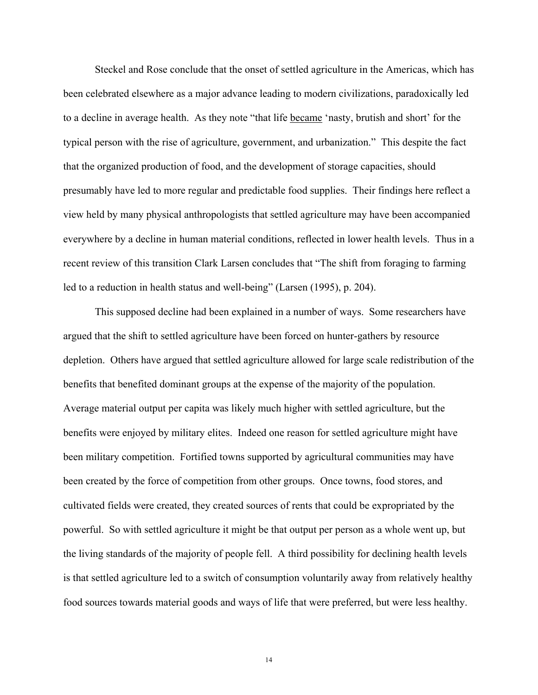Steckel and Rose conclude that the onset of settled agriculture in the Americas, which has been celebrated elsewhere as a major advance leading to modern civilizations, paradoxically led to a decline in average health. As they note "that life became 'nasty, brutish and short' for the typical person with the rise of agriculture, government, and urbanization." This despite the fact that the organized production of food, and the development of storage capacities, should presumably have led to more regular and predictable food supplies. Their findings here reflect a view held by many physical anthropologists that settled agriculture may have been accompanied everywhere by a decline in human material conditions, reflected in lower health levels. Thus in a recent review of this transition Clark Larsen concludes that "The shift from foraging to farming led to a reduction in health status and well-being" (Larsen (1995), p. 204).

This supposed decline had been explained in a number of ways. Some researchers have argued that the shift to settled agriculture have been forced on hunter-gathers by resource depletion. Others have argued that settled agriculture allowed for large scale redistribution of the benefits that benefited dominant groups at the expense of the majority of the population. Average material output per capita was likely much higher with settled agriculture, but the benefits were enjoyed by military elites. Indeed one reason for settled agriculture might have been military competition. Fortified towns supported by agricultural communities may have been created by the force of competition from other groups. Once towns, food stores, and cultivated fields were created, they created sources of rents that could be expropriated by the powerful. So with settled agriculture it might be that output per person as a whole went up, but the living standards of the majority of people fell. A third possibility for declining health levels is that settled agriculture led to a switch of consumption voluntarily away from relatively healthy food sources towards material goods and ways of life that were preferred, but were less healthy.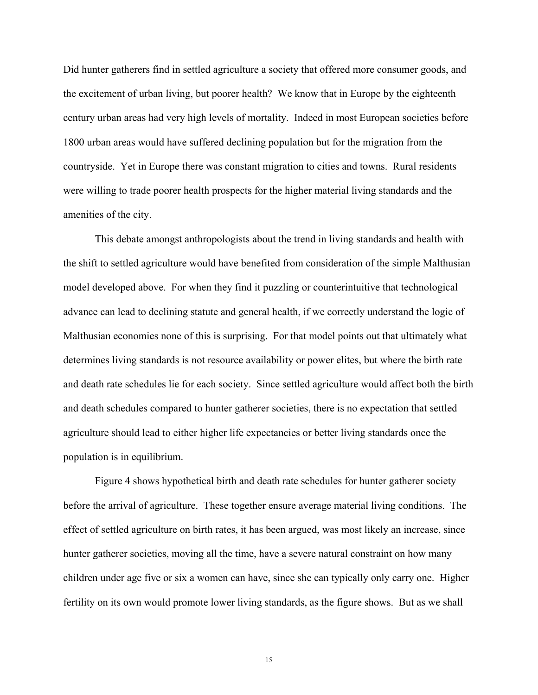Did hunter gatherers find in settled agriculture a society that offered more consumer goods, and the excitement of urban living, but poorer health? We know that in Europe by the eighteenth century urban areas had very high levels of mortality. Indeed in most European societies before 1800 urban areas would have suffered declining population but for the migration from the countryside. Yet in Europe there was constant migration to cities and towns. Rural residents were willing to trade poorer health prospects for the higher material living standards and the amenities of the city.

 This debate amongst anthropologists about the trend in living standards and health with the shift to settled agriculture would have benefited from consideration of the simple Malthusian model developed above. For when they find it puzzling or counterintuitive that technological advance can lead to declining statute and general health, if we correctly understand the logic of Malthusian economies none of this is surprising. For that model points out that ultimately what determines living standards is not resource availability or power elites, but where the birth rate and death rate schedules lie for each society. Since settled agriculture would affect both the birth and death schedules compared to hunter gatherer societies, there is no expectation that settled agriculture should lead to either higher life expectancies or better living standards once the population is in equilibrium.

Figure 4 shows hypothetical birth and death rate schedules for hunter gatherer society before the arrival of agriculture. These together ensure average material living conditions. The effect of settled agriculture on birth rates, it has been argued, was most likely an increase, since hunter gatherer societies, moving all the time, have a severe natural constraint on how many children under age five or six a women can have, since she can typically only carry one. Higher fertility on its own would promote lower living standards, as the figure shows. But as we shall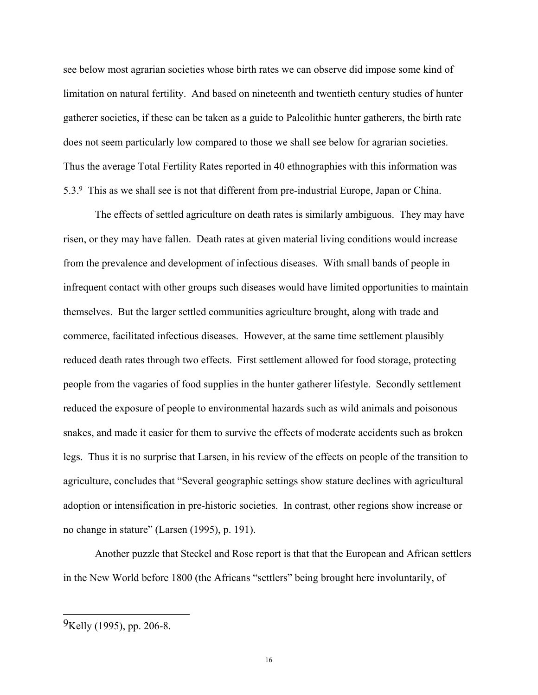see below most agrarian societies whose birth rates we can observe did impose some kind of limitation on natural fertility. And based on nineteenth and twentieth century studies of hunter gatherer societies, if these can be taken as a guide to Paleolithic hunter gatherers, the birth rate does not seem particularly low compared to those we shall see below for agrarian societies. Thus the average Total Fertility Rates reported in 40 ethnographies with this information was 5.3.9 This as we shall see is not that different from pre-industrial Europe, Japan or China.

The effects of settled agriculture on death rates is similarly ambiguous. They may have risen, or they may have fallen. Death rates at given material living conditions would increase from the prevalence and development of infectious diseases. With small bands of people in infrequent contact with other groups such diseases would have limited opportunities to maintain themselves. But the larger settled communities agriculture brought, along with trade and commerce, facilitated infectious diseases. However, at the same time settlement plausibly reduced death rates through two effects. First settlement allowed for food storage, protecting people from the vagaries of food supplies in the hunter gatherer lifestyle. Secondly settlement reduced the exposure of people to environmental hazards such as wild animals and poisonous snakes, and made it easier for them to survive the effects of moderate accidents such as broken legs. Thus it is no surprise that Larsen, in his review of the effects on people of the transition to agriculture, concludes that "Several geographic settings show stature declines with agricultural adoption or intensification in pre-historic societies. In contrast, other regions show increase or no change in stature" (Larsen (1995), p. 191).

Another puzzle that Steckel and Rose report is that that the European and African settlers in the New World before 1800 (the Africans "settlers" being brought here involuntarily, of

l

<sup>9</sup>Kelly (1995), pp. 206-8.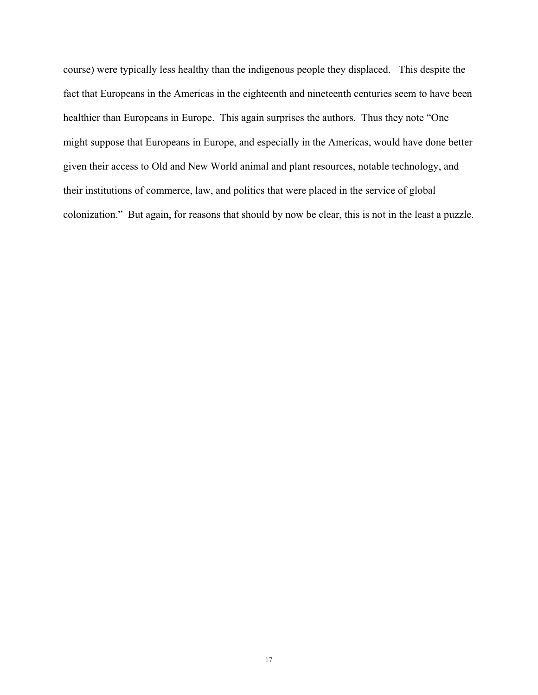course) were typically less healthy than the indigenous people they displaced. This despite the fact that Europeans in the Americas in the eighteenth and nineteenth centuries seem to have been healthier than Europeans in Europe. This again surprises the authors. Thus they note "One might suppose that Europeans in Europe, and especially in the Americas, would have done better given their access to Old and New World animal and plant resources, notable technology, and their institutions of commerce, law, and politics that were placed in the service of global colonization." But again, for reasons that should by now be clear, this is not in the least a puzzle.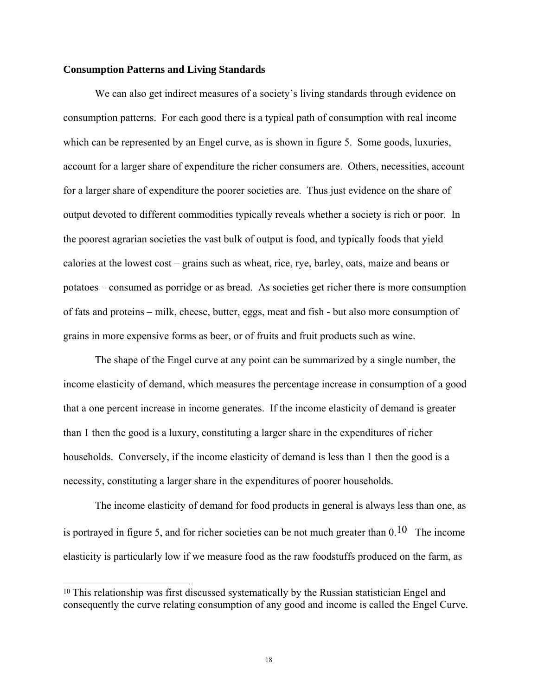#### **Consumption Patterns and Living Standards**

j

 We can also get indirect measures of a society's living standards through evidence on consumption patterns. For each good there is a typical path of consumption with real income which can be represented by an Engel curve, as is shown in figure 5. Some goods, luxuries, account for a larger share of expenditure the richer consumers are. Others, necessities, account for a larger share of expenditure the poorer societies are. Thus just evidence on the share of output devoted to different commodities typically reveals whether a society is rich or poor. In the poorest agrarian societies the vast bulk of output is food, and typically foods that yield calories at the lowest cost – grains such as wheat, rice, rye, barley, oats, maize and beans or potatoes – consumed as porridge or as bread. As societies get richer there is more consumption of fats and proteins – milk, cheese, butter, eggs, meat and fish - but also more consumption of grains in more expensive forms as beer, or of fruits and fruit products such as wine.

The shape of the Engel curve at any point can be summarized by a single number, the income elasticity of demand, which measures the percentage increase in consumption of a good that a one percent increase in income generates. If the income elasticity of demand is greater than 1 then the good is a luxury, constituting a larger share in the expenditures of richer households. Conversely, if the income elasticity of demand is less than 1 then the good is a necessity, constituting a larger share in the expenditures of poorer households.

 The income elasticity of demand for food products in general is always less than one, as is portraved in figure 5, and for richer societies can be not much greater than  $0.10$  The income elasticity is particularly low if we measure food as the raw foodstuffs produced on the farm, as

<sup>&</sup>lt;sup>10</sup> This relationship was first discussed systematically by the Russian statistician Engel and consequently the curve relating consumption of any good and income is called the Engel Curve.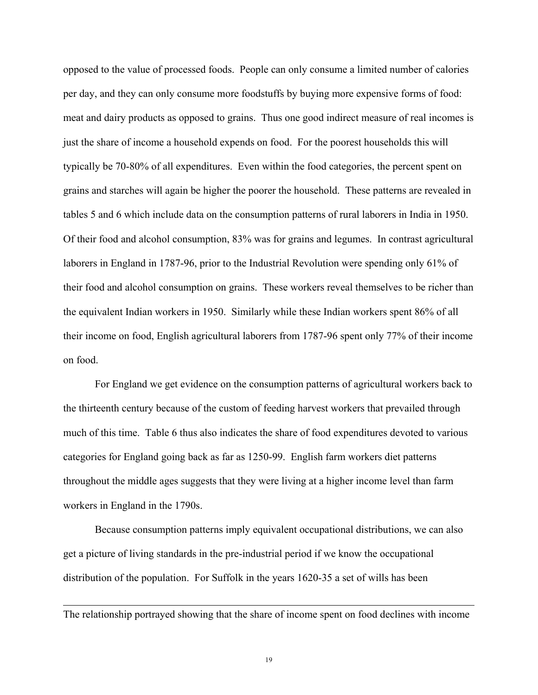opposed to the value of processed foods. People can only consume a limited number of calories per day, and they can only consume more foodstuffs by buying more expensive forms of food: meat and dairy products as opposed to grains. Thus one good indirect measure of real incomes is just the share of income a household expends on food. For the poorest households this will typically be 70-80% of all expenditures. Even within the food categories, the percent spent on grains and starches will again be higher the poorer the household. These patterns are revealed in tables 5 and 6 which include data on the consumption patterns of rural laborers in India in 1950. Of their food and alcohol consumption, 83% was for grains and legumes. In contrast agricultural laborers in England in 1787-96, prior to the Industrial Revolution were spending only 61% of their food and alcohol consumption on grains. These workers reveal themselves to be richer than the equivalent Indian workers in 1950. Similarly while these Indian workers spent 86% of all their income on food, English agricultural laborers from 1787-96 spent only 77% of their income on food.

 For England we get evidence on the consumption patterns of agricultural workers back to the thirteenth century because of the custom of feeding harvest workers that prevailed through much of this time. Table 6 thus also indicates the share of food expenditures devoted to various categories for England going back as far as 1250-99. English farm workers diet patterns throughout the middle ages suggests that they were living at a higher income level than farm workers in England in the 1790s.

 Because consumption patterns imply equivalent occupational distributions, we can also get a picture of living standards in the pre-industrial period if we know the occupational distribution of the population. For Suffolk in the years 1620-35 a set of wills has been

The relationship portrayed showing that the share of income spent on food declines with income

l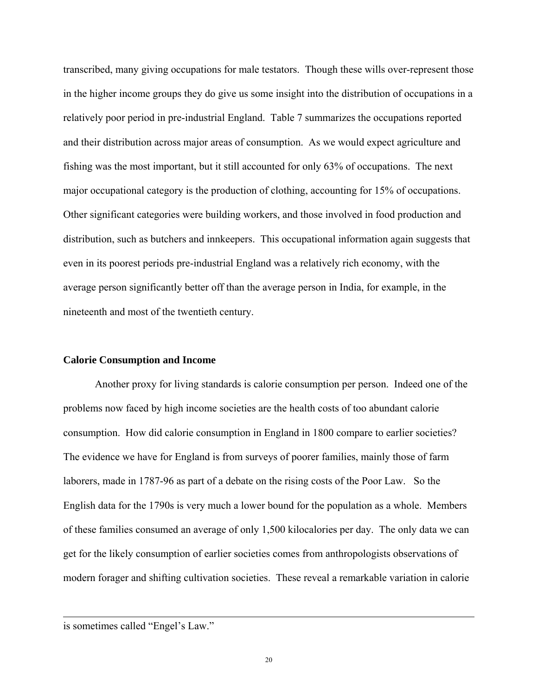transcribed, many giving occupations for male testators. Though these wills over-represent those in the higher income groups they do give us some insight into the distribution of occupations in a relatively poor period in pre-industrial England. Table 7 summarizes the occupations reported and their distribution across major areas of consumption. As we would expect agriculture and fishing was the most important, but it still accounted for only 63% of occupations. The next major occupational category is the production of clothing, accounting for 15% of occupations. Other significant categories were building workers, and those involved in food production and distribution, such as butchers and innkeepers. This occupational information again suggests that even in its poorest periods pre-industrial England was a relatively rich economy, with the average person significantly better off than the average person in India, for example, in the nineteenth and most of the twentieth century.

#### **Calorie Consumption and Income**

Another proxy for living standards is calorie consumption per person. Indeed one of the problems now faced by high income societies are the health costs of too abundant calorie consumption. How did calorie consumption in England in 1800 compare to earlier societies? The evidence we have for England is from surveys of poorer families, mainly those of farm laborers, made in 1787-96 as part of a debate on the rising costs of the Poor Law. So the English data for the 1790s is very much a lower bound for the population as a whole. Members of these families consumed an average of only 1,500 kilocalories per day. The only data we can get for the likely consumption of earlier societies comes from anthropologists observations of modern forager and shifting cultivation societies. These reveal a remarkable variation in calorie

l

is sometimes called "Engel's Law."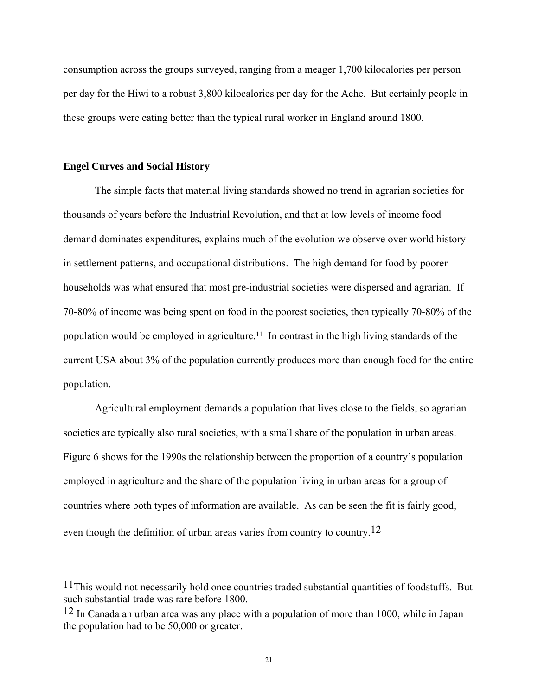consumption across the groups surveyed, ranging from a meager 1,700 kilocalories per person per day for the Hiwi to a robust 3,800 kilocalories per day for the Ache. But certainly people in these groups were eating better than the typical rural worker in England around 1800.

#### **Engel Curves and Social History**

l

 The simple facts that material living standards showed no trend in agrarian societies for thousands of years before the Industrial Revolution, and that at low levels of income food demand dominates expenditures, explains much of the evolution we observe over world history in settlement patterns, and occupational distributions. The high demand for food by poorer households was what ensured that most pre-industrial societies were dispersed and agrarian. If 70-80% of income was being spent on food in the poorest societies, then typically 70-80% of the population would be employed in agriculture.11 In contrast in the high living standards of the current USA about 3% of the population currently produces more than enough food for the entire population.

 Agricultural employment demands a population that lives close to the fields, so agrarian societies are typically also rural societies, with a small share of the population in urban areas. Figure 6 shows for the 1990s the relationship between the proportion of a country's population employed in agriculture and the share of the population living in urban areas for a group of countries where both types of information are available. As can be seen the fit is fairly good, even though the definition of urban areas varies from country to country.<sup>12</sup>

<sup>11</sup>This would not necessarily hold once countries traded substantial quantities of foodstuffs. But such substantial trade was rare before 1800.

<sup>12</sup> In Canada an urban area was any place with a population of more than 1000, while in Japan the population had to be 50,000 or greater.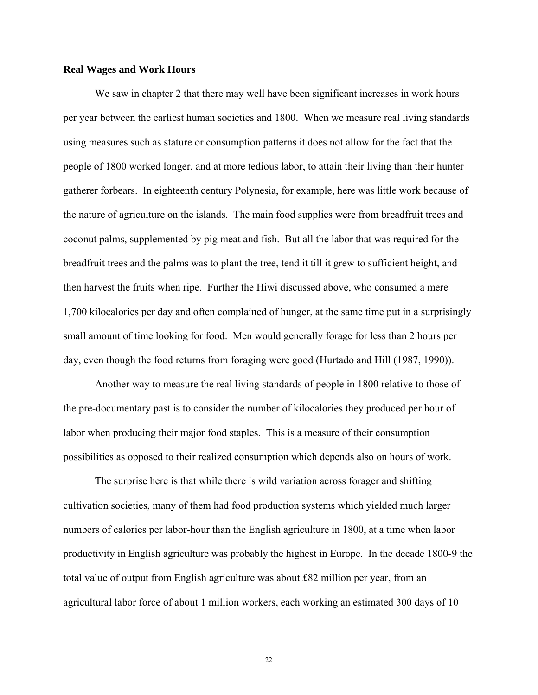#### **Real Wages and Work Hours**

We saw in chapter 2 that there may well have been significant increases in work hours per year between the earliest human societies and 1800. When we measure real living standards using measures such as stature or consumption patterns it does not allow for the fact that the people of 1800 worked longer, and at more tedious labor, to attain their living than their hunter gatherer forbears. In eighteenth century Polynesia, for example, here was little work because of the nature of agriculture on the islands. The main food supplies were from breadfruit trees and coconut palms, supplemented by pig meat and fish. But all the labor that was required for the breadfruit trees and the palms was to plant the tree, tend it till it grew to sufficient height, and then harvest the fruits when ripe. Further the Hiwi discussed above, who consumed a mere 1,700 kilocalories per day and often complained of hunger, at the same time put in a surprisingly small amount of time looking for food. Men would generally forage for less than 2 hours per day, even though the food returns from foraging were good (Hurtado and Hill (1987, 1990)).

Another way to measure the real living standards of people in 1800 relative to those of the pre-documentary past is to consider the number of kilocalories they produced per hour of labor when producing their major food staples. This is a measure of their consumption possibilities as opposed to their realized consumption which depends also on hours of work.

 The surprise here is that while there is wild variation across forager and shifting cultivation societies, many of them had food production systems which yielded much larger numbers of calories per labor-hour than the English agriculture in 1800, at a time when labor productivity in English agriculture was probably the highest in Europe. In the decade 1800-9 the total value of output from English agriculture was about ₤82 million per year, from an agricultural labor force of about 1 million workers, each working an estimated 300 days of 10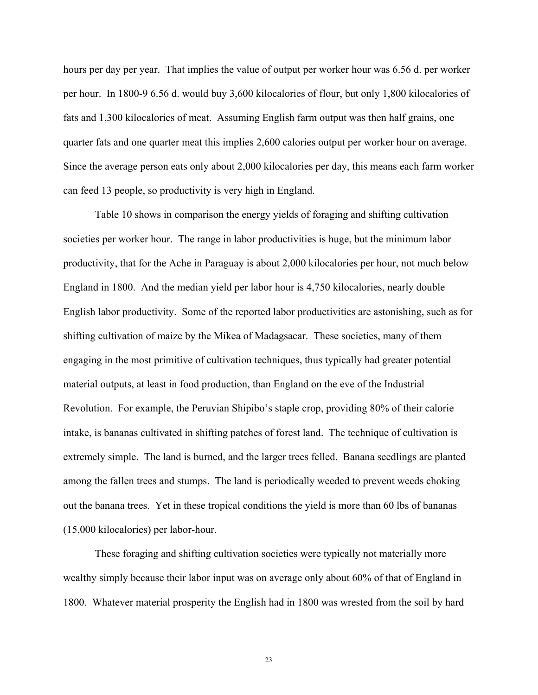hours per day per year. That implies the value of output per worker hour was 6.56 d. per worker per hour. In 1800-9 6.56 d. would buy 3,600 kilocalories of flour, but only 1,800 kilocalories of fats and 1,300 kilocalories of meat. Assuming English farm output was then half grains, one quarter fats and one quarter meat this implies 2,600 calories output per worker hour on average. Since the average person eats only about 2,000 kilocalories per day, this means each farm worker can feed 13 people, so productivity is very high in England.

 Table 10 shows in comparison the energy yields of foraging and shifting cultivation societies per worker hour. The range in labor productivities is huge, but the minimum labor productivity, that for the Ache in Paraguay is about 2,000 kilocalories per hour, not much below England in 1800. And the median yield per labor hour is 4,750 kilocalories, nearly double English labor productivity. Some of the reported labor productivities are astonishing, such as for shifting cultivation of maize by the Mikea of Madagsacar. These societies, many of them engaging in the most primitive of cultivation techniques, thus typically had greater potential material outputs, at least in food production, than England on the eve of the Industrial Revolution. For example, the Peruvian Shipibo's staple crop, providing 80% of their calorie intake, is bananas cultivated in shifting patches of forest land. The technique of cultivation is extremely simple. The land is burned, and the larger trees felled. Banana seedlings are planted among the fallen trees and stumps. The land is periodically weeded to prevent weeds choking out the banana trees. Yet in these tropical conditions the yield is more than 60 lbs of bananas (15,000 kilocalories) per labor-hour.

 These foraging and shifting cultivation societies were typically not materially more wealthy simply because their labor input was on average only about 60% of that of England in 1800. Whatever material prosperity the English had in 1800 was wrested from the soil by hard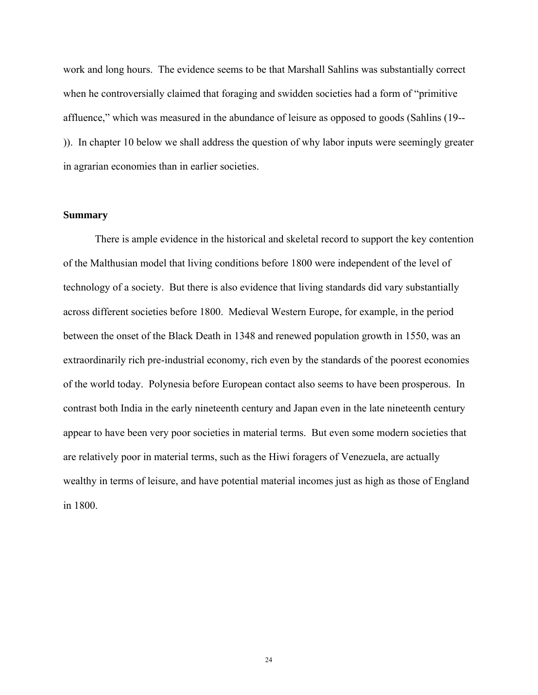work and long hours. The evidence seems to be that Marshall Sahlins was substantially correct when he controversially claimed that foraging and swidden societies had a form of "primitive affluence," which was measured in the abundance of leisure as opposed to goods (Sahlins (19-- )). In chapter 10 below we shall address the question of why labor inputs were seemingly greater in agrarian economies than in earlier societies.

#### **Summary**

 There is ample evidence in the historical and skeletal record to support the key contention of the Malthusian model that living conditions before 1800 were independent of the level of technology of a society. But there is also evidence that living standards did vary substantially across different societies before 1800. Medieval Western Europe, for example, in the period between the onset of the Black Death in 1348 and renewed population growth in 1550, was an extraordinarily rich pre-industrial economy, rich even by the standards of the poorest economies of the world today. Polynesia before European contact also seems to have been prosperous. In contrast both India in the early nineteenth century and Japan even in the late nineteenth century appear to have been very poor societies in material terms. But even some modern societies that are relatively poor in material terms, such as the Hiwi foragers of Venezuela, are actually wealthy in terms of leisure, and have potential material incomes just as high as those of England in 1800.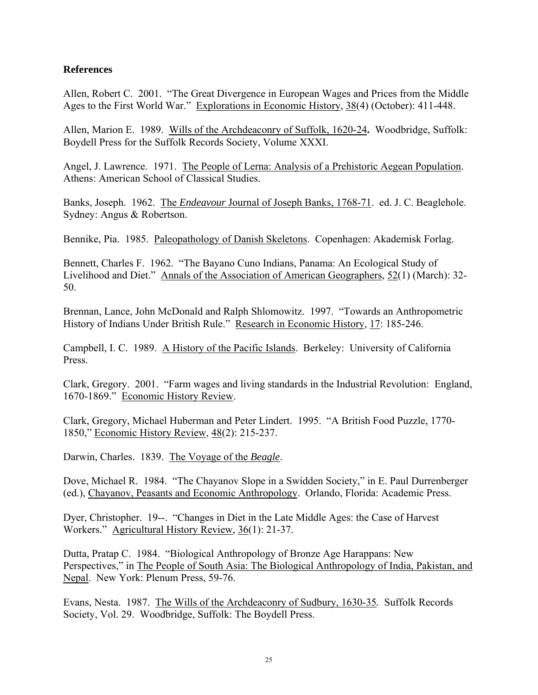### **References**

Allen, Robert C. 2001. "The Great Divergence in European Wages and Prices from the Middle Ages to the First World War." Explorations in Economic History, 38(4) (October): 411-448.

Allen, Marion E. 1989. Wills of the Archdeaconry of Suffolk, 1620-24**.** Woodbridge, Suffolk: Boydell Press for the Suffolk Records Society, Volume XXXI.

Angel, J. Lawrence. 1971. The People of Lerna: Analysis of a Prehistoric Aegean Population. Athens: American School of Classical Studies.

Banks, Joseph. 1962. The *Endeavour* Journal of Joseph Banks, 1768-71. ed. J. C. Beaglehole. Sydney: Angus & Robertson.

Bennike, Pia. 1985. Paleopathology of Danish Skeletons. Copenhagen: Akademisk Forlag.

Bennett, Charles F. 1962. "The Bayano Cuno Indians, Panama: An Ecological Study of Livelihood and Diet." Annals of the Association of American Geographers, 52(1) (March): 32- 50.

Brennan, Lance, John McDonald and Ralph Shlomowitz. 1997. "Towards an Anthropometric History of Indians Under British Rule." Research in Economic History, 17: 185-246.

Campbell, I. C. 1989. A History of the Pacific Islands. Berkeley: University of California Press.

Clark, Gregory. 2001. "Farm wages and living standards in the Industrial Revolution: England, 1670-1869." Economic History Review.

Clark, Gregory, Michael Huberman and Peter Lindert. 1995. "A British Food Puzzle, 1770- 1850," Economic History Review, 48(2): 215-237.

Darwin, Charles. 1839. The Voyage of the *Beagle*.

Dove, Michael R. 1984. "The Chayanov Slope in a Swidden Society," in E. Paul Durrenberger (ed.), Chayanov, Peasants and Economic Anthropology. Orlando, Florida: Academic Press.

Dyer, Christopher. 19--. "Changes in Diet in the Late Middle Ages: the Case of Harvest Workers." Agricultural History Review, 36(1): 21-37.

Dutta, Pratap C. 1984. "Biological Anthropology of Bronze Age Harappans: New Perspectives," in The People of South Asia: The Biological Anthropology of India, Pakistan, and Nepal. New York: Plenum Press, 59-76.

Evans, Nesta. 1987. The Wills of the Archdeaconry of Sudbury, 1630-35*.* Suffolk Records Society, Vol. 29. Woodbridge, Suffolk: The Boydell Press.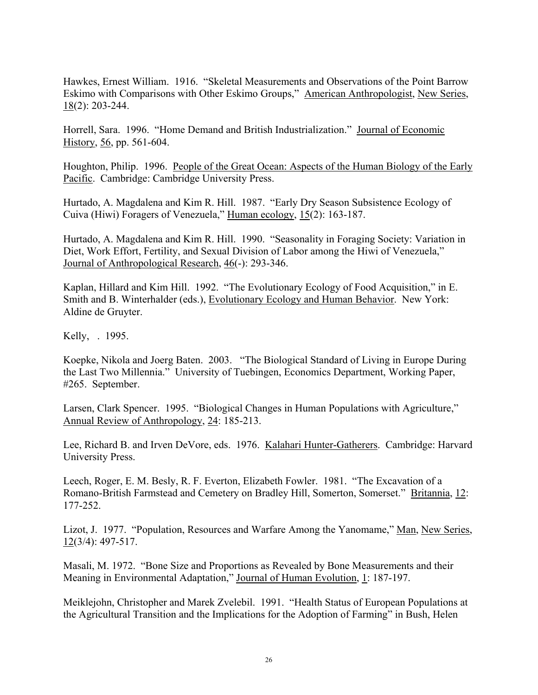Hawkes, Ernest William. 1916. "Skeletal Measurements and Observations of the Point Barrow Eskimo with Comparisons with Other Eskimo Groups," American Anthropologist, New Series,  $18(2)$ : 203-244.

Horrell, Sara. 1996. "Home Demand and British Industrialization." Journal of Economic History, 56, pp. 561-604.

Houghton, Philip. 1996. People of the Great Ocean: Aspects of the Human Biology of the Early Pacific. Cambridge: Cambridge University Press.

Hurtado, A. Magdalena and Kim R. Hill. 1987. "Early Dry Season Subsistence Ecology of Cuiva (Hiwi) Foragers of Venezuela," Human ecology, 15(2): 163-187.

Hurtado, A. Magdalena and Kim R. Hill. 1990. "Seasonality in Foraging Society: Variation in Diet, Work Effort, Fertility, and Sexual Division of Labor among the Hiwi of Venezuela," Journal of Anthropological Research, 46(-): 293-346.

Kaplan, Hillard and Kim Hill. 1992. "The Evolutionary Ecology of Food Acquisition," in E. Smith and B. Winterhalder (eds.), Evolutionary Ecology and Human Behavior. New York: Aldine de Gruyter.

Kelly, . 1995.

Koepke, Nikola and Joerg Baten. 2003. "The Biological Standard of Living in Europe During the Last Two Millennia." University of Tuebingen, Economics Department, Working Paper, #265. September.

Larsen, Clark Spencer. 1995. "Biological Changes in Human Populations with Agriculture," Annual Review of Anthropology, 24: 185-213.

Lee, Richard B. and Irven DeVore, eds. 1976. Kalahari Hunter-Gatherers. Cambridge: Harvard University Press.

Leech, Roger, E. M. Besly, R. F. Everton, Elizabeth Fowler. 1981. "The Excavation of a Romano-British Farmstead and Cemetery on Bradley Hill, Somerton, Somerset." Britannia, 12: 177-252.

Lizot, J. 1977. "Population, Resources and Warfare Among the Yanomame," Man, New Series, 12(3/4): 497-517.

Masali, M. 1972. "Bone Size and Proportions as Revealed by Bone Measurements and their Meaning in Environmental Adaptation," Journal of Human Evolution, 1: 187-197.

Meiklejohn, Christopher and Marek Zvelebil. 1991. "Health Status of European Populations at the Agricultural Transition and the Implications for the Adoption of Farming" in Bush, Helen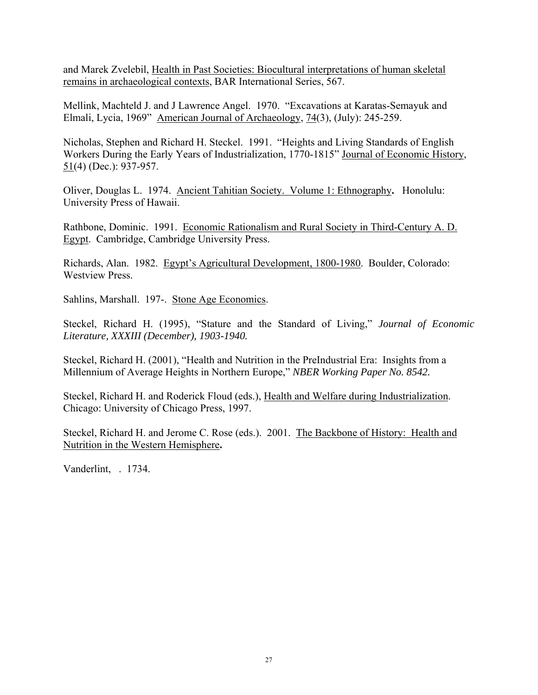and Marek Zvelebil, Health in Past Societies: Biocultural interpretations of human skeletal remains in archaeological contexts, BAR International Series, 567.

Mellink, Machteld J. and J Lawrence Angel. 1970. "Excavations at Karatas-Semayuk and Elmali, Lycia, 1969" American Journal of Archaeology, 74(3), (July): 245-259.

Nicholas, Stephen and Richard H. Steckel. 1991. "Heights and Living Standards of English Workers During the Early Years of Industrialization, 1770-1815" Journal of Economic History,  $51(4)$  (Dec.): 937-957.

Oliver, Douglas L. 1974. Ancient Tahitian Society. Volume 1: Ethnography**.** Honolulu: University Press of Hawaii.

Rathbone, Dominic. 1991. Economic Rationalism and Rural Society in Third-Century A. D. Egypt. Cambridge, Cambridge University Press.

Richards, Alan. 1982. Egypt's Agricultural Development, 1800-1980. Boulder, Colorado: Westview Press.

Sahlins, Marshall. 197-. Stone Age Economics.

Steckel, Richard H. (1995), "Stature and the Standard of Living," *Journal of Economic Literature, XXXIII (December), 1903-1940.* 

Steckel, Richard H. (2001), "Health and Nutrition in the PreIndustrial Era: Insights from a Millennium of Average Heights in Northern Europe," *NBER Working Paper No. 8542.*

Steckel, Richard H. and Roderick Floud (eds.), Health and Welfare during Industrialization. Chicago: University of Chicago Press, 1997.

Steckel, Richard H. and Jerome C. Rose (eds.). 2001. The Backbone of History: Health and Nutrition in the Western Hemisphere**.**

Vanderlint, . 1734.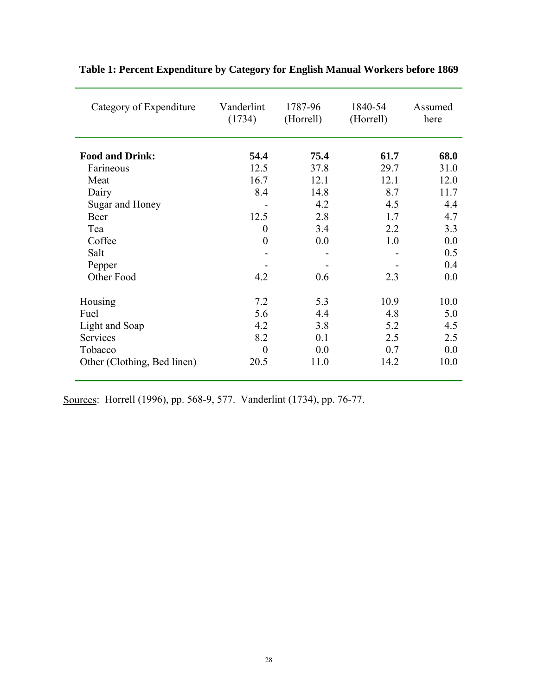| Category of Expenditure     | Vanderlint<br>(1734) | 1787-96<br>(Horrell) | 1840-54<br>(Horrell) | Assumed<br>here |
|-----------------------------|----------------------|----------------------|----------------------|-----------------|
| <b>Food and Drink:</b>      | 54.4                 | 75.4                 | 61.7                 | 68.0            |
| Farineous                   | 12.5                 | 37.8                 | 29.7                 | 31.0            |
| Meat                        | 16.7                 | 12.1                 | 12.1                 | 12.0            |
| Dairy                       | 8.4                  | 14.8                 | 8.7                  | 11.7            |
| Sugar and Honey             |                      | 4.2                  | 4.5                  | 4.4             |
| Beer                        | 12.5                 | 2.8                  | 1.7                  | 4.7             |
| Tea                         | $\overline{0}$       | 3.4                  | 2.2                  | 3.3             |
| Coffee                      | $\boldsymbol{0}$     | 0.0                  | 1.0                  | 0.0             |
| Salt                        |                      |                      |                      | 0.5             |
| Pepper                      |                      |                      |                      | 0.4             |
| Other Food                  | 4.2                  | 0.6                  | 2.3                  | 0.0             |
| Housing                     | 7.2                  | 5.3                  | 10.9                 | 10.0            |
| Fuel                        | 5.6                  | 4.4                  | 4.8                  | 5.0             |
| Light and Soap              | 4.2                  | 3.8                  | 5.2                  | 4.5             |
| Services                    | 8.2                  | 0.1                  | 2.5                  | 2.5             |
| Tobacco                     | $\overline{0}$       | 0.0                  | 0.7                  | 0.0             |
| Other (Clothing, Bed linen) | 20.5                 | 11.0                 | 14.2                 | 10.0            |

# **Table 1: Percent Expenditure by Category for English Manual Workers before 1869**

Sources: Horrell (1996), pp. 568-9, 577. Vanderlint (1734), pp. 76-77.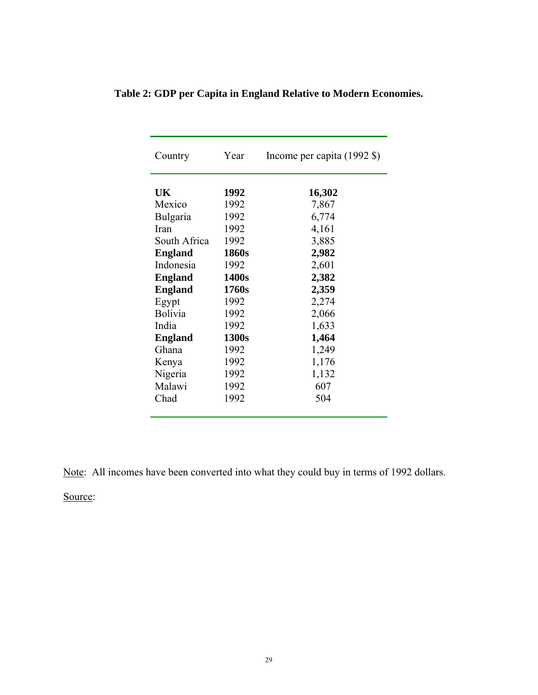| Country        | Year  | Income per capita (1992 \$) |
|----------------|-------|-----------------------------|
| UK             | 1992  | 16,302                      |
| Mexico         | 1992  | 7,867                       |
| Bulgaria       | 1992  | 6,774                       |
| Iran           | 1992  | 4,161                       |
| South Africa   | 1992  | 3,885                       |
| <b>England</b> | 1860s | 2,982                       |
| Indonesia      | 1992  | 2,601                       |
| <b>England</b> | 1400s | 2,382                       |
| <b>England</b> | 1760s | 2,359                       |
| Egypt          | 1992  | 2,274                       |
| <b>Bolivia</b> | 1992  | 2,066                       |
| India          | 1992  | 1,633                       |
| <b>England</b> | 1300s | 1,464                       |
| Ghana          | 1992  | 1,249                       |
| Kenya          | 1992  | 1,176                       |
| Nigeria        | 1992  | 1,132                       |
| Malawi         | 1992  | 607                         |
| Chad           | 1992  | 504                         |

**Table 2: GDP per Capita in England Relative to Modern Economies.** 

Note: All incomes have been converted into what they could buy in terms of 1992 dollars.

Source: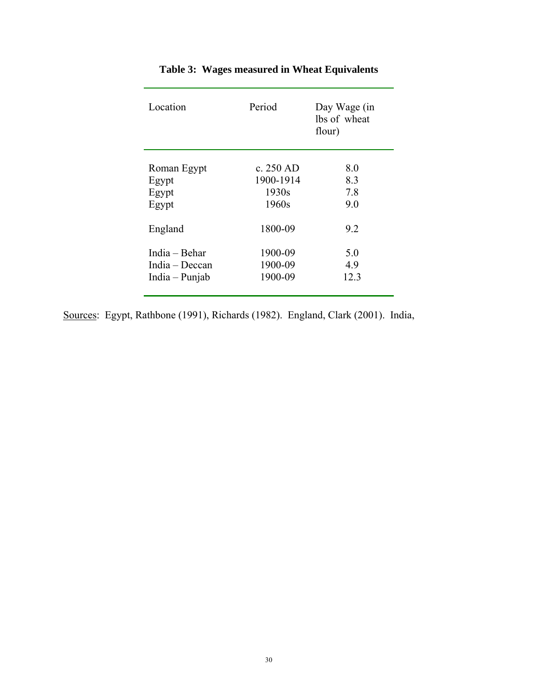| Location       | Period    | Day Wage (in<br>lbs of wheat<br>flour) |
|----------------|-----------|----------------------------------------|
| Roman Egypt    | c. 250 AD | 8.0                                    |
| Egypt          | 1900-1914 | 8.3                                    |
| Egypt          | 1930s     | 7.8                                    |
| Egypt          | 1960s     | 9.0                                    |
| England        | 1800-09   | 9.2                                    |
| India - Behar  | 1900-09   | 5.0                                    |
| India – Deccan | 1900-09   | 4.9                                    |
| India - Punjab | 1900-09   | 12.3                                   |

# **Table 3: Wages measured in Wheat Equivalents**

Sources: Egypt, Rathbone (1991), Richards (1982). England, Clark (2001). India,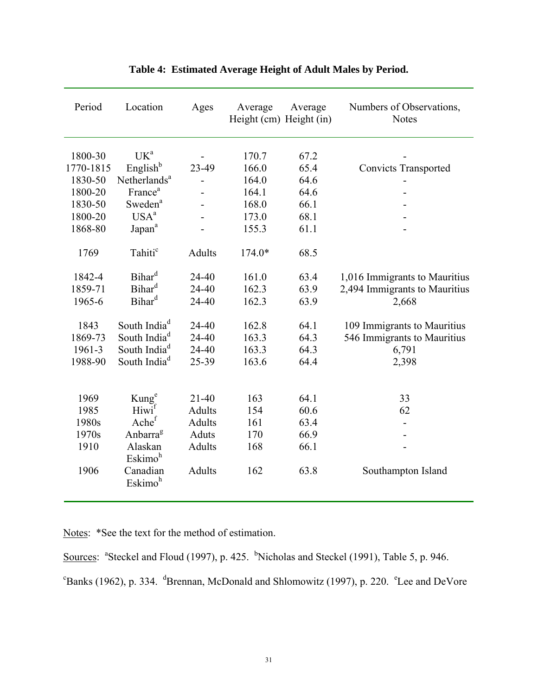| Period    | Location                        | Ages          | Average<br>Height (cm) Height (in) | Average | Numbers of Observations,<br><b>Notes</b> |
|-----------|---------------------------------|---------------|------------------------------------|---------|------------------------------------------|
| 1800-30   | UK <sup>a</sup>                 |               | 170.7                              | 67.2    |                                          |
| 1770-1815 | English <sup>b</sup>            | 23-49         | 166.0                              | 65.4    | <b>Convicts Transported</b>              |
| 1830-50   | Netherlands <sup>a</sup>        |               | 164.0                              | 64.6    |                                          |
| 1800-20   | France <sup>a</sup>             |               | 164.1                              | 64.6    |                                          |
| 1830-50   | Sweden <sup>a</sup>             |               | 168.0                              | 66.1    |                                          |
| 1800-20   | USA <sup>a</sup>                |               | 173.0                              | 68.1    |                                          |
| 1868-80   | Japan <sup>a</sup>              |               | 155.3                              | 61.1    |                                          |
| 1769      | Tahiti <sup>c</sup>             | <b>Adults</b> | $174.0*$                           | 68.5    |                                          |
| 1842-4    | Bihar <sup>d</sup>              | 24-40         | 161.0                              | 63.4    | 1,016 Immigrants to Mauritius            |
| 1859-71   | Bihar <sup>d</sup>              | 24-40         | 162.3                              | 63.9    | 2,494 Immigrants to Mauritius            |
| 1965-6    | Bihar <sup>d</sup>              | 24-40         | 162.3                              | 63.9    | 2,668                                    |
| 1843      | South India <sup>d</sup>        | 24-40         | 162.8                              | 64.1    | 109 Immigrants to Mauritius              |
| 1869-73   | South India <sup>d</sup>        | 24-40         | 163.3                              | 64.3    | 546 Immigrants to Mauritius              |
| 1961-3    | South India <sup>d</sup>        | 24-40         | 163.3                              | 64.3    | 6,791                                    |
| 1988-90   | South India <sup>d</sup>        | 25-39         | 163.6                              | 64.4    | 2,398                                    |
|           |                                 |               |                                    |         |                                          |
| 1969      | Kunge<br>Hiwif                  | $21 - 40$     | 163                                | 64.1    | 33                                       |
| 1985      |                                 | <b>Adults</b> | 154                                | 60.6    | 62                                       |
| 1980s     | Achef                           | <b>Adults</b> | 161                                | 63.4    |                                          |
| 1970s     | Anbarra <sup>g</sup>            | Aduts         | 170                                | 66.9    |                                          |
| 1910      | Alaskan<br>Eskimo <sup>h</sup>  | Adults        | 168                                | 66.1    |                                          |
| 1906      | Canadian<br>Eskimo <sup>h</sup> | Adults        | 162                                | 63.8    | Southampton Island                       |

### **Table 4: Estimated Average Height of Adult Males by Period.**

Notes: \*See the text for the method of estimation.

Sources: <sup>a</sup>Steckel and Floud (1997), p. 425. <sup>b</sup>Nicholas and Steckel (1991), Table 5, p. 946.  $\text{c}^{\text{c}}$ Banks (1962), p. 334.  $\text{d}^{\text{d}}$ Brennan, McDonald and Shlomowitz (1997), p. 220.  $\text{c}^{\text{c}}$ Lee and DeVore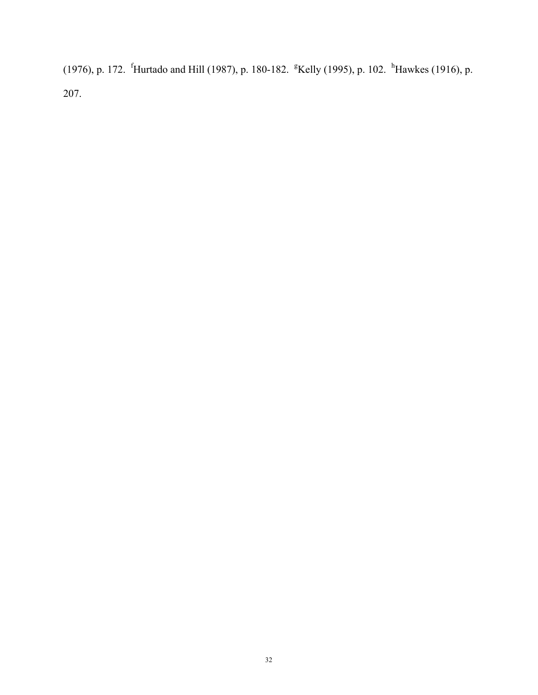(1976), p. 172. <sup>f</sup>Hurtado and Hill (1987), p. 180-182. <sup>g</sup>Kelly (1995), p. 102. <sup>h</sup>Hawkes (1916), p. 207.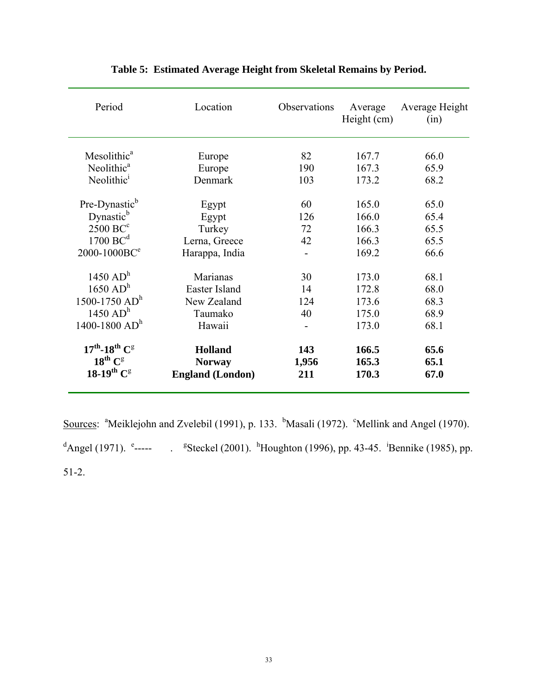| Period                                     | Location                | Observations | Average<br>Height (cm) | Average Height<br>(in) |
|--------------------------------------------|-------------------------|--------------|------------------------|------------------------|
| Mesolithic <sup>a</sup>                    | Europe                  | 82           | 167.7                  | 66.0                   |
| Neolithic <sup>a</sup>                     | Europe                  | 190          | 167.3                  | 65.9                   |
| Neolithic <sup>1</sup>                     | Denmark                 | 103          | 173.2                  | 68.2                   |
| Pre-Dynastic <sup>b</sup>                  | Egypt                   | 60           | 165.0                  | 65.0                   |
| Dynastic <sup>b</sup>                      | Egypt                   | 126          | 166.0                  | 65.4                   |
| $2500$ BC $\textdegree$                    | Turkey                  | 72           | 166.3                  | 65.5                   |
| $1700$ BC <sup>d</sup>                     | Lerna, Greece           | 42           | 166.3                  | 65.5                   |
| 2000-1000BC <sup>e</sup>                   | Harappa, India          |              | 169.2                  | 66.6                   |
| $1450$ AD <sup>h</sup>                     | Marianas                | 30           | 173.0                  | 68.1                   |
| 1650 AD <sup>h</sup>                       | Easter Island           | 14           | 172.8                  | 68.0                   |
| $1500 - 1750$ AD <sup>h</sup>              | New Zealand             | 124          | 173.6                  | 68.3                   |
| $1450$ AD <sup>h</sup>                     | Taumako                 | 40           | 175.0                  | 68.9                   |
| 1400-1800 $ADh$                            | Hawaii                  |              | 173.0                  | 68.1                   |
| $17^{th}$ -18 <sup>th</sup> C <sup>g</sup> | <b>Holland</b>          | 143          | 166.5                  | 65.6                   |
| $18^{th}$ $C^g$                            | <b>Norway</b>           | 1,956        | 165.3                  | 65.1                   |
| $18-19^{th}$ C <sup>g</sup>                | <b>England</b> (London) | 211          | 170.3                  | 67.0                   |
|                                            |                         |              |                        |                        |

### **Table 5: Estimated Average Height from Skeletal Remains by Period.**

Sources: <sup>a</sup>Meiklejohn and Zvelebil (1991), p. 133. <sup>b</sup>Masali (1972). <sup>c</sup>Mellink and Angel (1970). <sup>d</sup>Angel (1971). <sup>e</sup>----- . <sup>g</sup>Steckel (2001). <sup>h</sup>Houghton (1996), pp. 43-45. <sup>i</sup>Bennike (1985), pp. 51-2.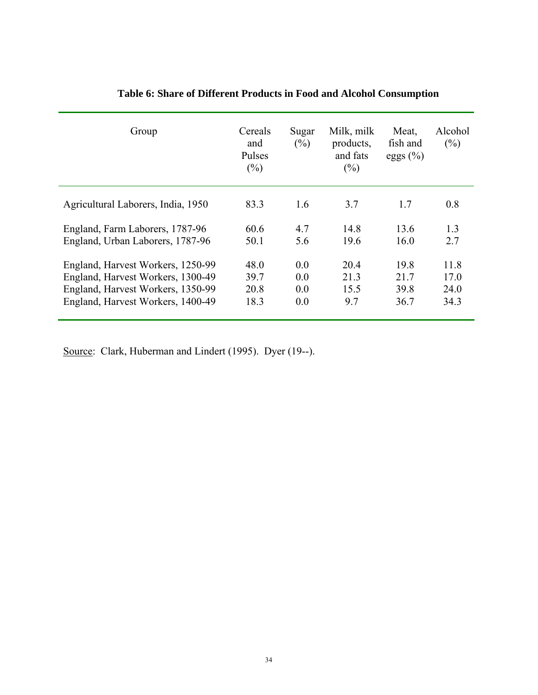| Group                              | Cereals<br>and<br>Pulses<br>$(\%)$ | Sugar<br>$(\%)$ | Milk, milk<br>products,<br>and fats<br>$(\%)$ | Meat,<br>fish and<br>eggs $(\% )$ | Alcohol<br>$(\%)$ |
|------------------------------------|------------------------------------|-----------------|-----------------------------------------------|-----------------------------------|-------------------|
| Agricultural Laborers, India, 1950 | 83.3                               | 1.6             | 3.7                                           | 1.7                               | 0.8               |
| England, Farm Laborers, 1787-96    | 60.6                               | 4.7             | 14.8                                          | 13.6                              | 1.3               |
| England, Urban Laborers, 1787-96   | 50.1                               | 5.6             | 19.6                                          | 16.0                              | 2.7               |
| England, Harvest Workers, 1250-99  | 48.0                               | 0.0             | 20.4                                          | 19.8                              | 11.8              |
| England, Harvest Workers, 1300-49  | 39.7                               | 0.0             | 21.3                                          | 21.7                              | 17.0              |
| England, Harvest Workers, 1350-99  | 20.8                               | 0 <sub>0</sub>  | 15.5                                          | 39.8                              | 24.0              |
| England, Harvest Workers, 1400-49  | 18.3                               | 0.0             | 9.7                                           | 36.7                              | 34.3              |

# **Table 6: Share of Different Products in Food and Alcohol Consumption**

Source: Clark, Huberman and Lindert (1995). Dyer (19--).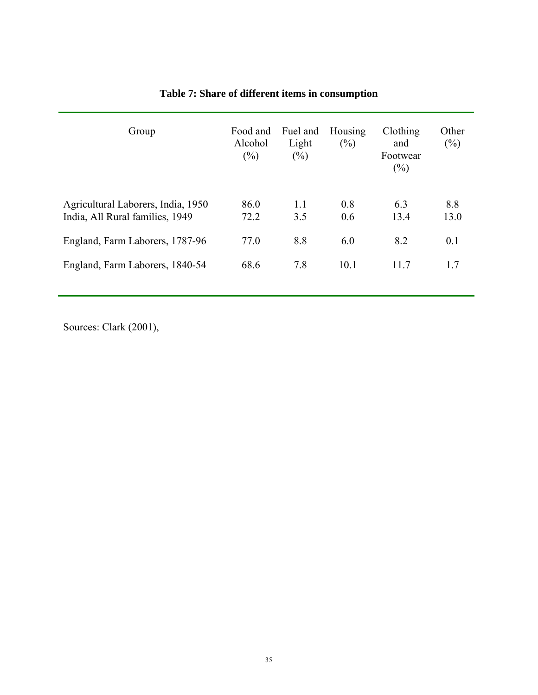| Group                                                                 | Food and<br>Alcohol<br>$(\%)$ | Fuel and<br>Light<br>$(\%)$ | Housing<br>$(\%)$ | Clothing<br>and<br>Footwear<br>$(\%)$ | Other<br>$(\%)$ |
|-----------------------------------------------------------------------|-------------------------------|-----------------------------|-------------------|---------------------------------------|-----------------|
| Agricultural Laborers, India, 1950<br>India, All Rural families, 1949 | 86.0<br>72.2                  | 1.1<br>3.5                  | 0.8<br>0.6        | 6.3<br>13.4                           | 8.8<br>13.0     |
| England, Farm Laborers, 1787-96                                       | 77.0                          | 8.8                         | 6.0               | 8.2                                   | 0.1             |
| England, Farm Laborers, 1840-54                                       | 68.6                          | 7.8                         | 10.1              | 11.7                                  | 1.7             |
|                                                                       |                               |                             |                   |                                       |                 |

# **Table 7: Share of different items in consumption**

Sources: Clark (2001),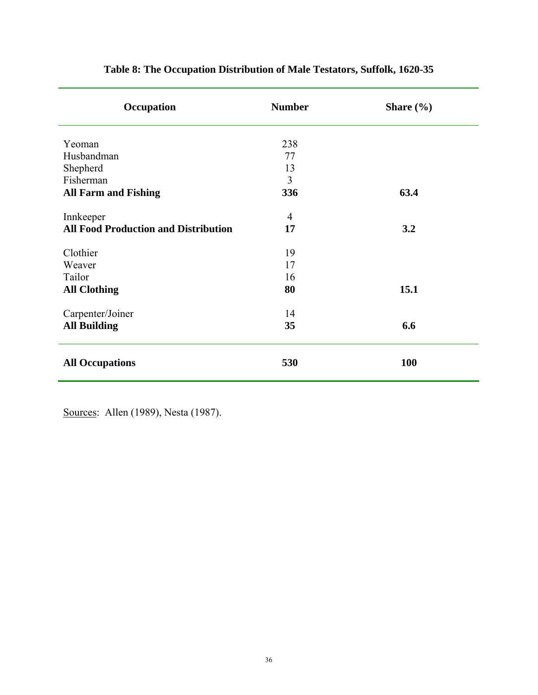| Occupation                                  | <b>Number</b>  | Share $(\% )$ |
|---------------------------------------------|----------------|---------------|
| Yeoman                                      | 238            |               |
| Husbandman                                  | 77             |               |
| Shepherd                                    | 13             |               |
| Fisherman                                   | $\overline{3}$ |               |
| <b>All Farm and Fishing</b>                 | 336            | 63.4          |
| Innkeeper                                   | $\overline{4}$ |               |
| <b>All Food Production and Distribution</b> | 17             | 3.2           |
| Clothier                                    | 19             |               |
| Weaver                                      | 17             |               |
| Tailor                                      | 16             |               |
| <b>All Clothing</b>                         | 80             | 15.1          |
| Carpenter/Joiner                            | 14             |               |
| <b>All Building</b>                         | 35             | 6.6           |
| <b>All Occupations</b>                      | 530            | 100           |

# **Table 8: The Occupation Distribution of Male Testators, Suffolk, 1620-35**

Sources: Allen (1989), Nesta (1987).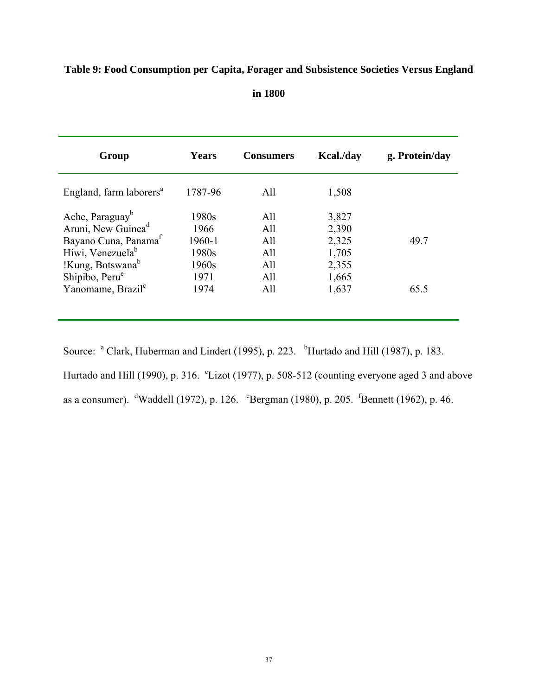### **Table 9: Food Consumption per Capita, Forager and Subsistence Societies Versus England**

| Group                               | Years   | <b>Consumers</b> | Kcal./day | g. Protein/day |
|-------------------------------------|---------|------------------|-----------|----------------|
| England, farm laborers <sup>a</sup> | 1787-96 | All              | 1,508     |                |
| Ache, Paraguay <sup>b</sup>         | 1980s   | All              | 3,827     |                |
| Aruni, New Guinea <sup>d</sup>      | 1966    | All              | 2,390     |                |
| Bayano Cuna, Panama <sup>f</sup>    | 1960-1  | All              | 2,325     | 49.7           |
| Hiwi, Venezuela <sup>b</sup>        | 1980s   | All              | 1,705     |                |
| !Kung, Botswana <sup>b</sup>        | 1960s   | All              | 2,355     |                |
| Shipibo, Peru <sup>e</sup>          | 1971    | All              | 1,665     |                |
| Yanomame, Brazil <sup>c</sup>       | 1974    | All              | 1,637     | 65.5           |

**in 1800** 

Source:  $^a$  Clark, Huberman and Lindert (1995), p. 223.  $^b$ Hurtado and Hill (1987), p. 183. Hurtado and Hill (1990), p. 316. Clizot (1977), p. 508-512 (counting everyone aged 3 and above as a consumer). <sup>d</sup>Waddell (1972), p. 126. <sup>e</sup>Bergman (1980), p. 205. <sup>f</sup>Bennett (1962), p. 46.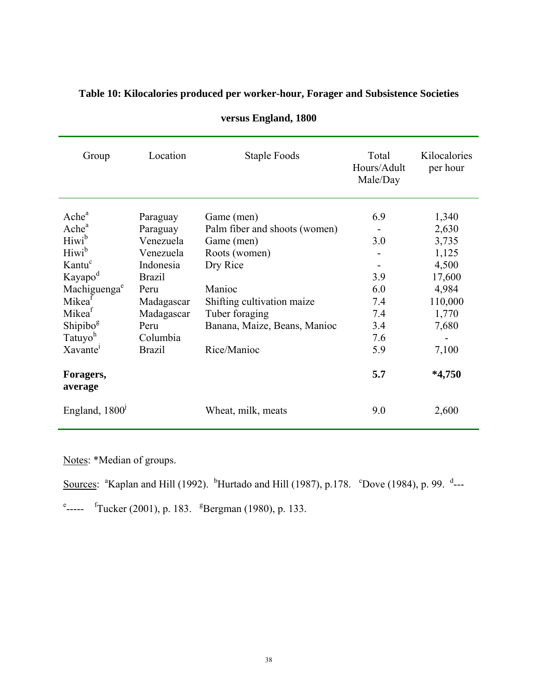| Group                                                                                                                                                                                                                                                                        | Location                                                                                                                                              | Staple Foods                                                                                                                                                                                    | Total<br>Hours/Adult<br>Male/Day                            | Kilocalories<br>per hour                                                                           |
|------------------------------------------------------------------------------------------------------------------------------------------------------------------------------------------------------------------------------------------------------------------------------|-------------------------------------------------------------------------------------------------------------------------------------------------------|-------------------------------------------------------------------------------------------------------------------------------------------------------------------------------------------------|-------------------------------------------------------------|----------------------------------------------------------------------------------------------------|
| Ache <sup>a</sup><br>Ache <sup>a</sup><br>Hiwi <sup>b</sup><br>Hiwi <sup>b</sup><br>Kantu <sup>c</sup><br>Kayapo <sup>d</sup><br>Machiguenga <sup>e</sup><br>Mikea <sup>f</sup><br>Mikea <sup>f</sup><br>Shipibo <sup>g</sup><br>Tatuyo <sup>h</sup><br>Xavante <sup>1</sup> | Paraguay<br>Paraguay<br>Venezuela<br>Venezuela<br>Indonesia<br><b>Brazil</b><br>Peru<br>Madagascar<br>Madagascar<br>Peru<br>Columbia<br><b>Brazil</b> | Game (men)<br>Palm fiber and shoots (women)<br>Game (men)<br>Roots (women)<br>Dry Rice<br>Manioc<br>Shifting cultivation maize<br>Tuber foraging<br>Banana, Maize, Beans, Manioc<br>Rice/Manioc | 6.9<br>3.0<br>3.9<br>6.0<br>7.4<br>7.4<br>3.4<br>7.6<br>5.9 | 1,340<br>2,630<br>3,735<br>1,125<br>4,500<br>17,600<br>4,984<br>110,000<br>1,770<br>7,680<br>7,100 |
| Foragers,<br>average                                                                                                                                                                                                                                                         |                                                                                                                                                       |                                                                                                                                                                                                 | 5.7                                                         | $*4,750$                                                                                           |
| England, $1800^{\circ}$                                                                                                                                                                                                                                                      |                                                                                                                                                       | Wheat, milk, meats                                                                                                                                                                              | 9.0                                                         | 2,600                                                                                              |

### **Table 10: Kilocalories produced per worker-hour, Forager and Subsistence Societies**

**versus England, 1800** 

Notes: \*Median of groups.

Sources:  $\mathrm{a}^*$ Kaplan and Hill (1992).  $\mathrm{b}^*$ Hurtado and Hill (1987), p.178.  $\mathrm{c}^*$ Dove (1984), p. 99.  $\mathrm{d}^*$ ---

<sup>e</sup>----- <sup>f</sup>Tucker (2001), p. 183. <sup>g</sup>Bergman (1980), p. 133.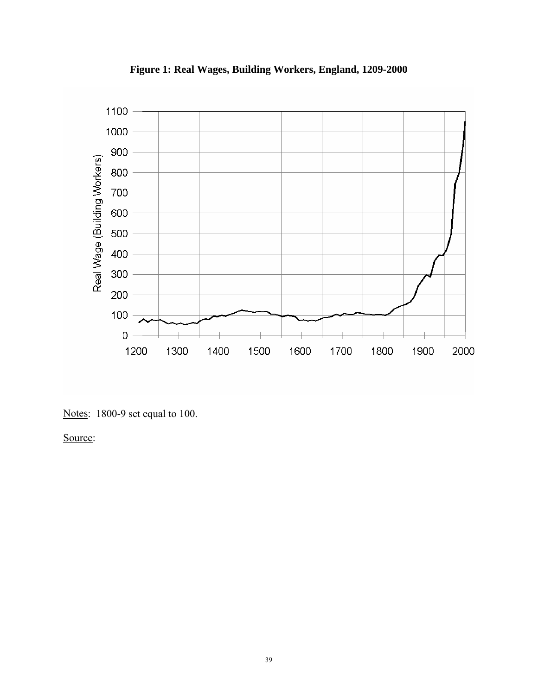

**Figure 1: Real Wages, Building Workers, England, 1209-2000**

Notes: 1800-9 set equal to 100.

Source: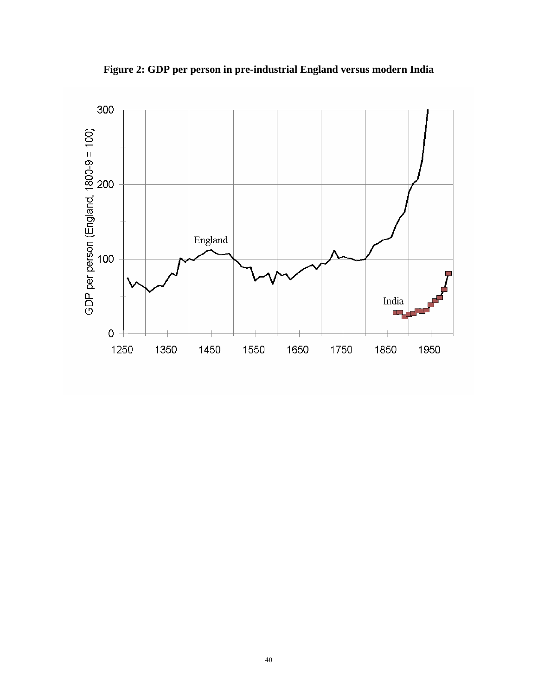

**Figure 2: GDP per person in pre-industrial England versus modern India**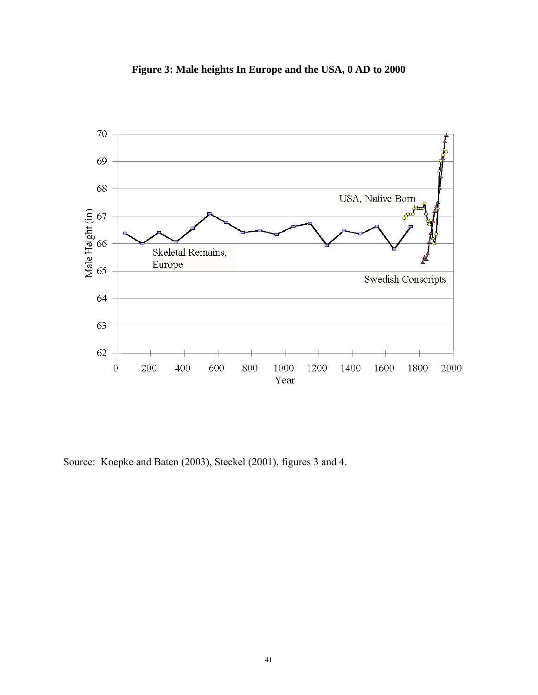



Source: Koepke and Baten (2003), Steckel (2001), figures 3 and 4.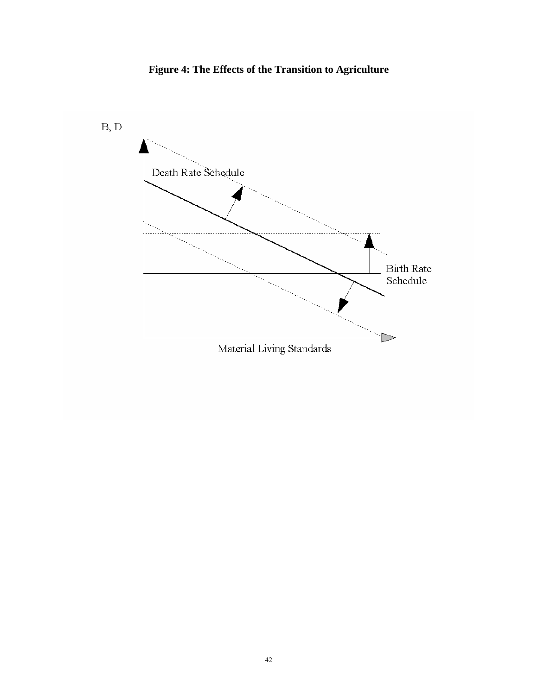

**Figure 4: The Effects of the Transition to Agriculture**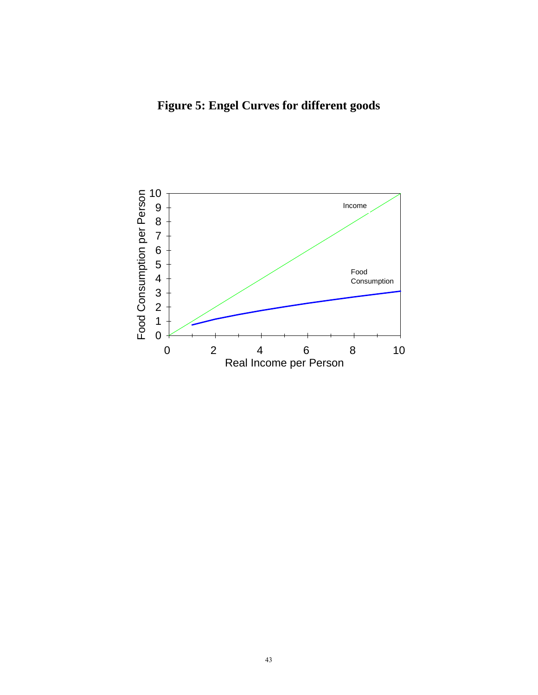# **Figure 5: Engel Curves for different goods**